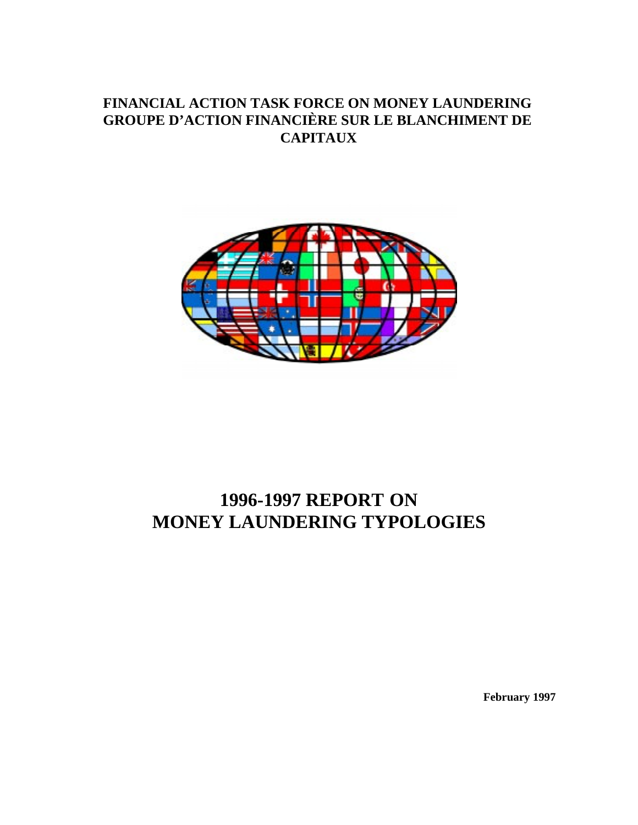# **FINANCIAL ACTION TASK FORCE ON MONEY LAUNDERING GROUPE D'ACTION FINANCIÈRE SUR LE BLANCHIMENT DE CAPITAUX**



# **1996-1997 REPORT ON MONEY LAUNDERING TYPOLOGIES**

**February 1997**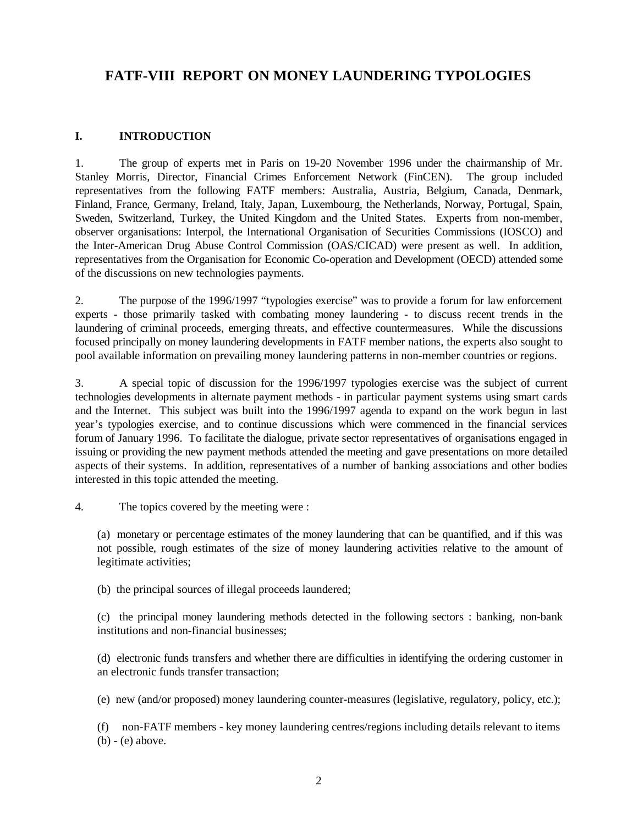# **FATF-VIII REPORT ON MONEY LAUNDERING TYPOLOGIES**

#### **I. INTRODUCTION**

1. The group of experts met in Paris on 19-20 November 1996 under the chairmanship of Mr. Stanley Morris, Director, Financial Crimes Enforcement Network (FinCEN). The group included representatives from the following FATF members: Australia, Austria, Belgium, Canada, Denmark, Finland, France, Germany, Ireland, Italy, Japan, Luxembourg, the Netherlands, Norway, Portugal, Spain, Sweden, Switzerland, Turkey, the United Kingdom and the United States. Experts from non-member, observer organisations: Interpol, the International Organisation of Securities Commissions (IOSCO) and the Inter-American Drug Abuse Control Commission (OAS/CICAD) were present as well. In addition, representatives from the Organisation for Economic Co-operation and Development (OECD) attended some of the discussions on new technologies payments.

2. The purpose of the 1996/1997 "typologies exercise" was to provide a forum for law enforcement experts - those primarily tasked with combating money laundering - to discuss recent trends in the laundering of criminal proceeds, emerging threats, and effective countermeasures. While the discussions focused principally on money laundering developments in FATF member nations, the experts also sought to pool available information on prevailing money laundering patterns in non-member countries or regions.

3. A special topic of discussion for the 1996/1997 typologies exercise was the subject of current technologies developments in alternate payment methods - in particular payment systems using smart cards and the Internet. This subject was built into the 1996/1997 agenda to expand on the work begun in last year's typologies exercise, and to continue discussions which were commenced in the financial services forum of January 1996. To facilitate the dialogue, private sector representatives of organisations engaged in issuing or providing the new payment methods attended the meeting and gave presentations on more detailed aspects of their systems. In addition, representatives of a number of banking associations and other bodies interested in this topic attended the meeting.

4. The topics covered by the meeting were :

(a) monetary or percentage estimates of the money laundering that can be quantified, and if this was not possible, rough estimates of the size of money laundering activities relative to the amount of legitimate activities;

(b) the principal sources of illegal proceeds laundered;

(c) the principal money laundering methods detected in the following sectors : banking, non-bank institutions and non-financial businesses;

(d) electronic funds transfers and whether there are difficulties in identifying the ordering customer in an electronic funds transfer transaction;

(e) new (and/or proposed) money laundering counter-measures (legislative, regulatory, policy, etc.);

(f) non-FATF members - key money laundering centres/regions including details relevant to items (b) - (e) above.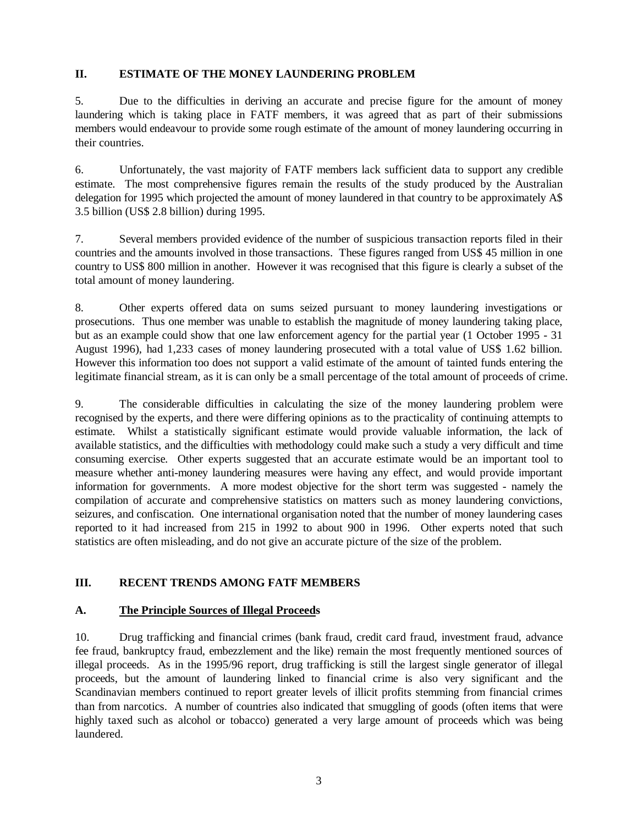#### **II. ESTIMATE OF THE MONEY LAUNDERING PROBLEM**

5. Due to the difficulties in deriving an accurate and precise figure for the amount of money laundering which is taking place in FATF members, it was agreed that as part of their submissions members would endeavour to provide some rough estimate of the amount of money laundering occurring in their countries.

6. Unfortunately, the vast majority of FATF members lack sufficient data to support any credible estimate. The most comprehensive figures remain the results of the study produced by the Australian delegation for 1995 which projected the amount of money laundered in that country to be approximately A\$ 3.5 billion (US\$ 2.8 billion) during 1995.

7. Several members provided evidence of the number of suspicious transaction reports filed in their countries and the amounts involved in those transactions. These figures ranged from US\$ 45 million in one country to US\$ 800 million in another. However it was recognised that this figure is clearly a subset of the total amount of money laundering.

8. Other experts offered data on sums seized pursuant to money laundering investigations or prosecutions. Thus one member was unable to establish the magnitude of money laundering taking place, but as an example could show that one law enforcement agency for the partial year (1 October 1995 - 31 August 1996), had 1,233 cases of money laundering prosecuted with a total value of US\$ 1.62 billion. However this information too does not support a valid estimate of the amount of tainted funds entering the legitimate financial stream, as it is can only be a small percentage of the total amount of proceeds of crime.

9. The considerable difficulties in calculating the size of the money laundering problem were recognised by the experts, and there were differing opinions as to the practicality of continuing attempts to estimate. Whilst a statistically significant estimate would provide valuable information, the lack of available statistics, and the difficulties with methodology could make such a study a very difficult and time consuming exercise. Other experts suggested that an accurate estimate would be an important tool to measure whether anti-money laundering measures were having any effect, and would provide important information for governments. A more modest objective for the short term was suggested - namely the compilation of accurate and comprehensive statistics on matters such as money laundering convictions, seizures, and confiscation. One international organisation noted that the number of money laundering cases reported to it had increased from 215 in 1992 to about 900 in 1996. Other experts noted that such statistics are often misleading, and do not give an accurate picture of the size of the problem.

#### **III. RECENT TRENDS AMONG FATF MEMBERS**

#### **A. The Principle Sources of Illegal Proceeds**

10. Drug trafficking and financial crimes (bank fraud, credit card fraud, investment fraud, advance fee fraud, bankruptcy fraud, embezzlement and the like) remain the most frequently mentioned sources of illegal proceeds. As in the 1995/96 report, drug trafficking is still the largest single generator of illegal proceeds, but the amount of laundering linked to financial crime is also very significant and the Scandinavian members continued to report greater levels of illicit profits stemming from financial crimes than from narcotics. A number of countries also indicated that smuggling of goods (often items that were highly taxed such as alcohol or tobacco) generated a very large amount of proceeds which was being laundered.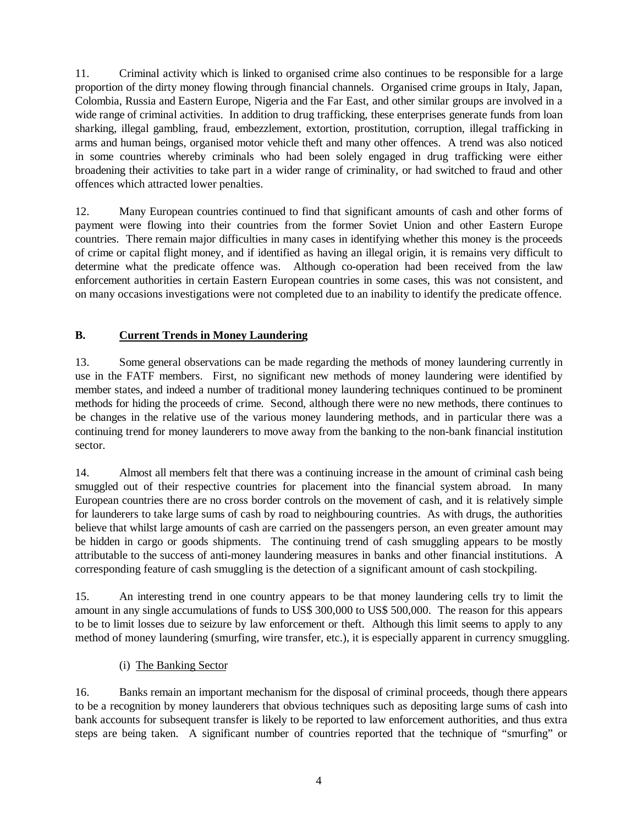11. Criminal activity which is linked to organised crime also continues to be responsible for a large proportion of the dirty money flowing through financial channels. Organised crime groups in Italy, Japan, Colombia, Russia and Eastern Europe, Nigeria and the Far East, and other similar groups are involved in a wide range of criminal activities. In addition to drug trafficking, these enterprises generate funds from loan sharking, illegal gambling, fraud, embezzlement, extortion, prostitution, corruption, illegal trafficking in arms and human beings, organised motor vehicle theft and many other offences. A trend was also noticed in some countries whereby criminals who had been solely engaged in drug trafficking were either broadening their activities to take part in a wider range of criminality, or had switched to fraud and other offences which attracted lower penalties.

12. Many European countries continued to find that significant amounts of cash and other forms of payment were flowing into their countries from the former Soviet Union and other Eastern Europe countries. There remain major difficulties in many cases in identifying whether this money is the proceeds of crime or capital flight money, and if identified as having an illegal origin, it is remains very difficult to determine what the predicate offence was. Although co-operation had been received from the law enforcement authorities in certain Eastern European countries in some cases, this was not consistent, and on many occasions investigations were not completed due to an inability to identify the predicate offence.

# **B. Current Trends in Money Laundering**

13. Some general observations can be made regarding the methods of money laundering currently in use in the FATF members. First, no significant new methods of money laundering were identified by member states, and indeed a number of traditional money laundering techniques continued to be prominent methods for hiding the proceeds of crime. Second, although there were no new methods, there continues to be changes in the relative use of the various money laundering methods, and in particular there was a continuing trend for money launderers to move away from the banking to the non-bank financial institution sector.

14. Almost all members felt that there was a continuing increase in the amount of criminal cash being smuggled out of their respective countries for placement into the financial system abroad. In many European countries there are no cross border controls on the movement of cash, and it is relatively simple for launderers to take large sums of cash by road to neighbouring countries. As with drugs, the authorities believe that whilst large amounts of cash are carried on the passengers person, an even greater amount may be hidden in cargo or goods shipments. The continuing trend of cash smuggling appears to be mostly attributable to the success of anti-money laundering measures in banks and other financial institutions. A corresponding feature of cash smuggling is the detection of a significant amount of cash stockpiling.

15. An interesting trend in one country appears to be that money laundering cells try to limit the amount in any single accumulations of funds to US\$ 300,000 to US\$ 500,000. The reason for this appears to be to limit losses due to seizure by law enforcement or theft. Although this limit seems to apply to any method of money laundering (smurfing, wire transfer, etc.), it is especially apparent in currency smuggling.

(i) The Banking Sector

16. Banks remain an important mechanism for the disposal of criminal proceeds, though there appears to be a recognition by money launderers that obvious techniques such as depositing large sums of cash into bank accounts for subsequent transfer is likely to be reported to law enforcement authorities, and thus extra steps are being taken. A significant number of countries reported that the technique of "smurfing" or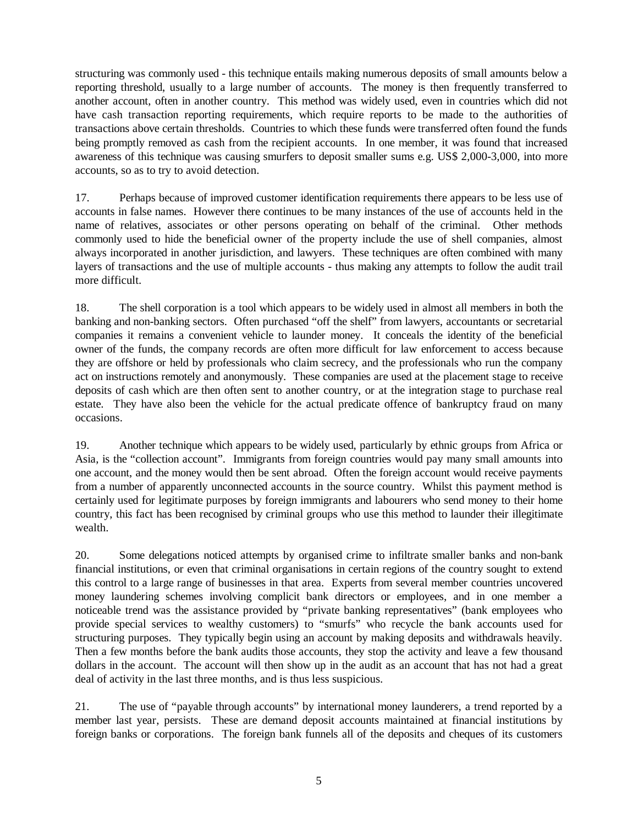structuring was commonly used - this technique entails making numerous deposits of small amounts below a reporting threshold, usually to a large number of accounts. The money is then frequently transferred to another account, often in another country. This method was widely used, even in countries which did not have cash transaction reporting requirements, which require reports to be made to the authorities of transactions above certain thresholds. Countries to which these funds were transferred often found the funds being promptly removed as cash from the recipient accounts. In one member, it was found that increased awareness of this technique was causing smurfers to deposit smaller sums e.g. US\$ 2,000-3,000, into more accounts, so as to try to avoid detection.

17. Perhaps because of improved customer identification requirements there appears to be less use of accounts in false names. However there continues to be many instances of the use of accounts held in the name of relatives, associates or other persons operating on behalf of the criminal. Other methods commonly used to hide the beneficial owner of the property include the use of shell companies, almost always incorporated in another jurisdiction, and lawyers. These techniques are often combined with many layers of transactions and the use of multiple accounts - thus making any attempts to follow the audit trail more difficult.

18. The shell corporation is a tool which appears to be widely used in almost all members in both the banking and non-banking sectors. Often purchased "off the shelf" from lawyers, accountants or secretarial companies it remains a convenient vehicle to launder money. It conceals the identity of the beneficial owner of the funds, the company records are often more difficult for law enforcement to access because they are offshore or held by professionals who claim secrecy, and the professionals who run the company act on instructions remotely and anonymously. These companies are used at the placement stage to receive deposits of cash which are then often sent to another country, or at the integration stage to purchase real estate. They have also been the vehicle for the actual predicate offence of bankruptcy fraud on many occasions.

19. Another technique which appears to be widely used, particularly by ethnic groups from Africa or Asia, is the "collection account". Immigrants from foreign countries would pay many small amounts into one account, and the money would then be sent abroad. Often the foreign account would receive payments from a number of apparently unconnected accounts in the source country. Whilst this payment method is certainly used for legitimate purposes by foreign immigrants and labourers who send money to their home country, this fact has been recognised by criminal groups who use this method to launder their illegitimate wealth.

20. Some delegations noticed attempts by organised crime to infiltrate smaller banks and non-bank financial institutions, or even that criminal organisations in certain regions of the country sought to extend this control to a large range of businesses in that area. Experts from several member countries uncovered money laundering schemes involving complicit bank directors or employees, and in one member a noticeable trend was the assistance provided by "private banking representatives" (bank employees who provide special services to wealthy customers) to "smurfs" who recycle the bank accounts used for structuring purposes. They typically begin using an account by making deposits and withdrawals heavily. Then a few months before the bank audits those accounts, they stop the activity and leave a few thousand dollars in the account. The account will then show up in the audit as an account that has not had a great deal of activity in the last three months, and is thus less suspicious.

21. The use of "payable through accounts" by international money launderers, a trend reported by a member last year, persists. These are demand deposit accounts maintained at financial institutions by foreign banks or corporations. The foreign bank funnels all of the deposits and cheques of its customers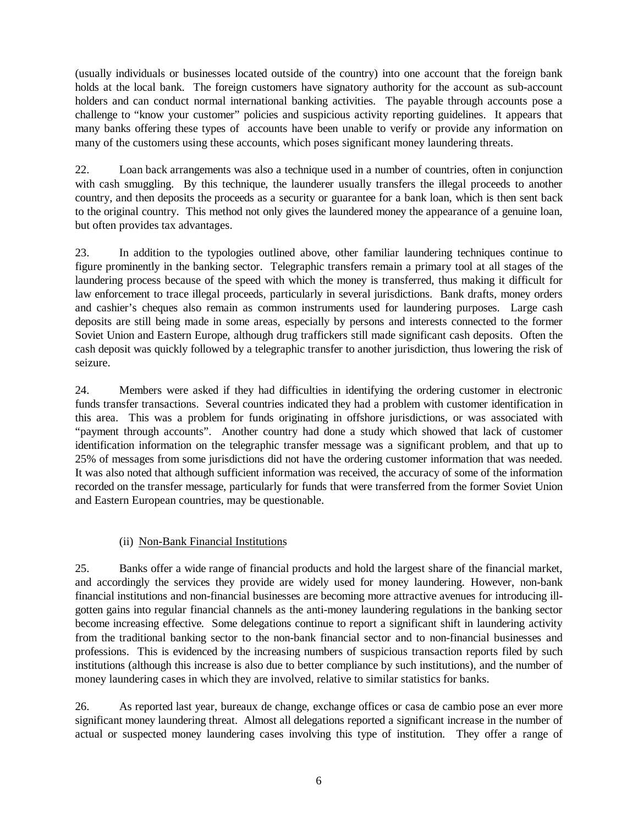(usually individuals or businesses located outside of the country) into one account that the foreign bank holds at the local bank. The foreign customers have signatory authority for the account as sub-account holders and can conduct normal international banking activities. The payable through accounts pose a challenge to "know your customer" policies and suspicious activity reporting guidelines. It appears that many banks offering these types of accounts have been unable to verify or provide any information on many of the customers using these accounts, which poses significant money laundering threats.

22. Loan back arrangements was also a technique used in a number of countries, often in conjunction with cash smuggling. By this technique, the launderer usually transfers the illegal proceeds to another country, and then deposits the proceeds as a security or guarantee for a bank loan, which is then sent back to the original country. This method not only gives the laundered money the appearance of a genuine loan, but often provides tax advantages.

23. In addition to the typologies outlined above, other familiar laundering techniques continue to figure prominently in the banking sector. Telegraphic transfers remain a primary tool at all stages of the laundering process because of the speed with which the money is transferred, thus making it difficult for law enforcement to trace illegal proceeds, particularly in several jurisdictions. Bank drafts, money orders and cashier's cheques also remain as common instruments used for laundering purposes. Large cash deposits are still being made in some areas, especially by persons and interests connected to the former Soviet Union and Eastern Europe, although drug traffickers still made significant cash deposits. Often the cash deposit was quickly followed by a telegraphic transfer to another jurisdiction, thus lowering the risk of seizure.

24. Members were asked if they had difficulties in identifying the ordering customer in electronic funds transfer transactions. Several countries indicated they had a problem with customer identification in this area. This was a problem for funds originating in offshore jurisdictions, or was associated with "payment through accounts". Another country had done a study which showed that lack of customer identification information on the telegraphic transfer message was a significant problem, and that up to 25% of messages from some jurisdictions did not have the ordering customer information that was needed. It was also noted that although sufficient information was received, the accuracy of some of the information recorded on the transfer message, particularly for funds that were transferred from the former Soviet Union and Eastern European countries, may be questionable.

#### (ii) Non-Bank Financial Institutions

25. Banks offer a wide range of financial products and hold the largest share of the financial market, and accordingly the services they provide are widely used for money laundering. However, non-bank financial institutions and non-financial businesses are becoming more attractive avenues for introducing illgotten gains into regular financial channels as the anti-money laundering regulations in the banking sector become increasing effective. Some delegations continue to report a significant shift in laundering activity from the traditional banking sector to the non-bank financial sector and to non-financial businesses and professions. This is evidenced by the increasing numbers of suspicious transaction reports filed by such institutions (although this increase is also due to better compliance by such institutions), and the number of money laundering cases in which they are involved, relative to similar statistics for banks.

26. As reported last year, bureaux de change, exchange offices or casa de cambio pose an ever more significant money laundering threat. Almost all delegations reported a significant increase in the number of actual or suspected money laundering cases involving this type of institution. They offer a range of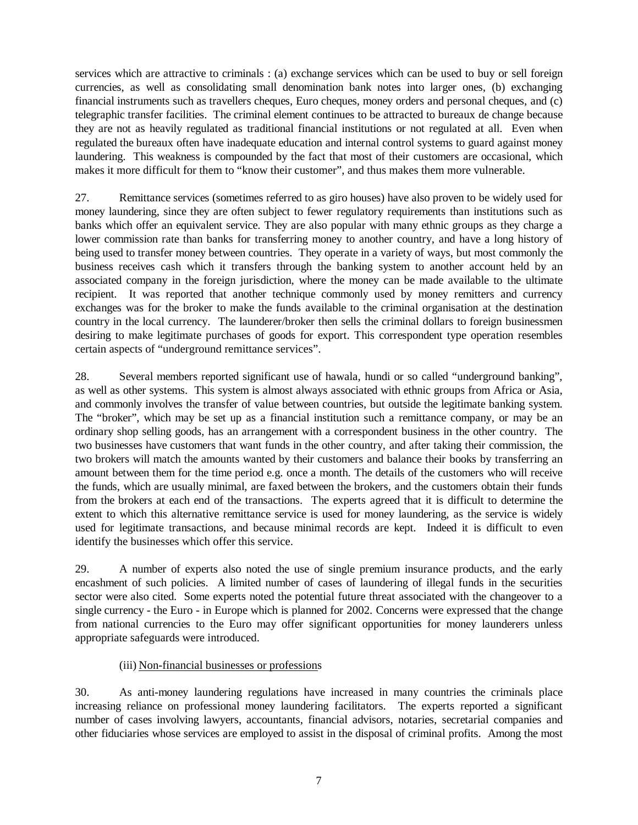services which are attractive to criminals : (a) exchange services which can be used to buy or sell foreign currencies, as well as consolidating small denomination bank notes into larger ones, (b) exchanging financial instruments such as travellers cheques, Euro cheques, money orders and personal cheques, and (c) telegraphic transfer facilities. The criminal element continues to be attracted to bureaux de change because they are not as heavily regulated as traditional financial institutions or not regulated at all. Even when regulated the bureaux often have inadequate education and internal control systems to guard against money laundering. This weakness is compounded by the fact that most of their customers are occasional, which makes it more difficult for them to "know their customer", and thus makes them more vulnerable.

27. Remittance services (sometimes referred to as giro houses) have also proven to be widely used for money laundering, since they are often subject to fewer regulatory requirements than institutions such as banks which offer an equivalent service. They are also popular with many ethnic groups as they charge a lower commission rate than banks for transferring money to another country, and have a long history of being used to transfer money between countries. They operate in a variety of ways, but most commonly the business receives cash which it transfers through the banking system to another account held by an associated company in the foreign jurisdiction, where the money can be made available to the ultimate recipient. It was reported that another technique commonly used by money remitters and currency exchanges was for the broker to make the funds available to the criminal organisation at the destination country in the local currency. The launderer/broker then sells the criminal dollars to foreign businessmen desiring to make legitimate purchases of goods for export. This correspondent type operation resembles certain aspects of "underground remittance services".

28. Several members reported significant use of hawala, hundi or so called "underground banking", as well as other systems. This system is almost always associated with ethnic groups from Africa or Asia, and commonly involves the transfer of value between countries, but outside the legitimate banking system. The "broker", which may be set up as a financial institution such a remittance company, or may be an ordinary shop selling goods, has an arrangement with a correspondent business in the other country. The two businesses have customers that want funds in the other country, and after taking their commission, the two brokers will match the amounts wanted by their customers and balance their books by transferring an amount between them for the time period e.g. once a month. The details of the customers who will receive the funds, which are usually minimal, are faxed between the brokers, and the customers obtain their funds from the brokers at each end of the transactions. The experts agreed that it is difficult to determine the extent to which this alternative remittance service is used for money laundering, as the service is widely used for legitimate transactions, and because minimal records are kept. Indeed it is difficult to even identify the businesses which offer this service.

29. A number of experts also noted the use of single premium insurance products, and the early encashment of such policies. A limited number of cases of laundering of illegal funds in the securities sector were also cited. Some experts noted the potential future threat associated with the changeover to a single currency - the Euro - in Europe which is planned for 2002. Concerns were expressed that the change from national currencies to the Euro may offer significant opportunities for money launderers unless appropriate safeguards were introduced.

#### (iii) Non-financial businesses or professions

30. As anti-money laundering regulations have increased in many countries the criminals place increasing reliance on professional money laundering facilitators. The experts reported a significant number of cases involving lawyers, accountants, financial advisors, notaries, secretarial companies and other fiduciaries whose services are employed to assist in the disposal of criminal profits. Among the most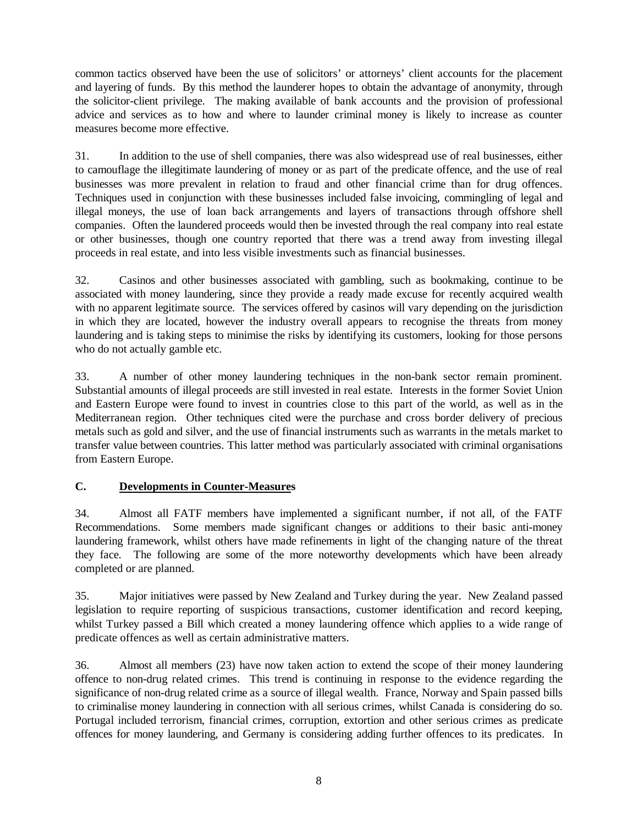common tactics observed have been the use of solicitors' or attorneys' client accounts for the placement and layering of funds. By this method the launderer hopes to obtain the advantage of anonymity, through the solicitor-client privilege. The making available of bank accounts and the provision of professional advice and services as to how and where to launder criminal money is likely to increase as counter measures become more effective.

31. In addition to the use of shell companies, there was also widespread use of real businesses, either to camouflage the illegitimate laundering of money or as part of the predicate offence, and the use of real businesses was more prevalent in relation to fraud and other financial crime than for drug offences. Techniques used in conjunction with these businesses included false invoicing, commingling of legal and illegal moneys, the use of loan back arrangements and layers of transactions through offshore shell companies. Often the laundered proceeds would then be invested through the real company into real estate or other businesses, though one country reported that there was a trend away from investing illegal proceeds in real estate, and into less visible investments such as financial businesses.

32. Casinos and other businesses associated with gambling, such as bookmaking, continue to be associated with money laundering, since they provide a ready made excuse for recently acquired wealth with no apparent legitimate source. The services offered by casinos will vary depending on the jurisdiction in which they are located, however the industry overall appears to recognise the threats from money laundering and is taking steps to minimise the risks by identifying its customers, looking for those persons who do not actually gamble etc.

33. A number of other money laundering techniques in the non-bank sector remain prominent. Substantial amounts of illegal proceeds are still invested in real estate. Interests in the former Soviet Union and Eastern Europe were found to invest in countries close to this part of the world, as well as in the Mediterranean region. Other techniques cited were the purchase and cross border delivery of precious metals such as gold and silver, and the use of financial instruments such as warrants in the metals market to transfer value between countries. This latter method was particularly associated with criminal organisations from Eastern Europe.

#### **C. Developments in Counter-Measures**

34. Almost all FATF members have implemented a significant number, if not all, of the FATF Recommendations. Some members made significant changes or additions to their basic anti-money laundering framework, whilst others have made refinements in light of the changing nature of the threat they face. The following are some of the more noteworthy developments which have been already completed or are planned.

35. Major initiatives were passed by New Zealand and Turkey during the year. New Zealand passed legislation to require reporting of suspicious transactions, customer identification and record keeping, whilst Turkey passed a Bill which created a money laundering offence which applies to a wide range of predicate offences as well as certain administrative matters.

36. Almost all members (23) have now taken action to extend the scope of their money laundering offence to non-drug related crimes. This trend is continuing in response to the evidence regarding the significance of non-drug related crime as a source of illegal wealth. France, Norway and Spain passed bills to criminalise money laundering in connection with all serious crimes, whilst Canada is considering do so. Portugal included terrorism, financial crimes, corruption, extortion and other serious crimes as predicate offences for money laundering, and Germany is considering adding further offences to its predicates. In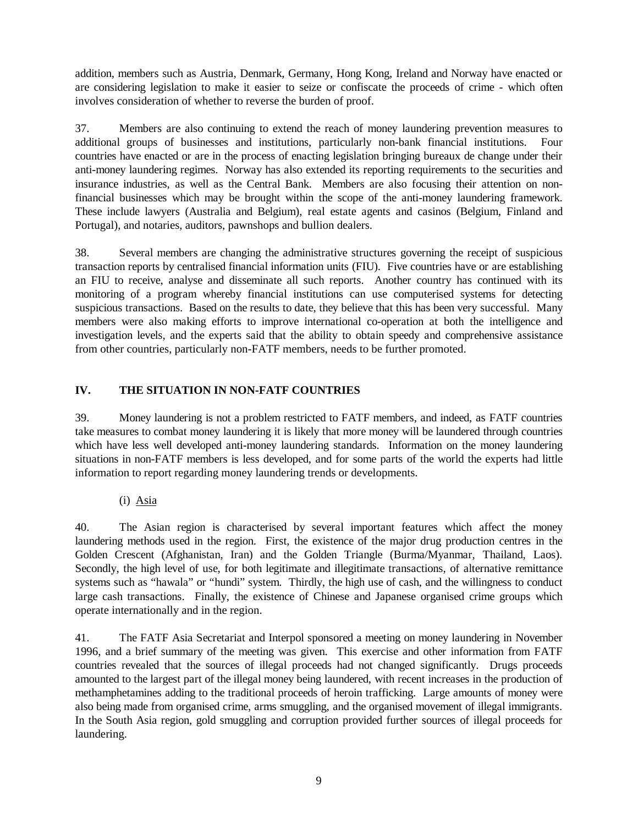addition, members such as Austria, Denmark, Germany, Hong Kong, Ireland and Norway have enacted or are considering legislation to make it easier to seize or confiscate the proceeds of crime - which often involves consideration of whether to reverse the burden of proof.

37. Members are also continuing to extend the reach of money laundering prevention measures to additional groups of businesses and institutions, particularly non-bank financial institutions. Four countries have enacted or are in the process of enacting legislation bringing bureaux de change under their anti-money laundering regimes. Norway has also extended its reporting requirements to the securities and insurance industries, as well as the Central Bank. Members are also focusing their attention on nonfinancial businesses which may be brought within the scope of the anti-money laundering framework. These include lawyers (Australia and Belgium), real estate agents and casinos (Belgium, Finland and Portugal), and notaries, auditors, pawnshops and bullion dealers.

38. Several members are changing the administrative structures governing the receipt of suspicious transaction reports by centralised financial information units (FIU). Five countries have or are establishing an FIU to receive, analyse and disseminate all such reports. Another country has continued with its monitoring of a program whereby financial institutions can use computerised systems for detecting suspicious transactions. Based on the results to date, they believe that this has been very successful. Many members were also making efforts to improve international co-operation at both the intelligence and investigation levels, and the experts said that the ability to obtain speedy and comprehensive assistance from other countries, particularly non-FATF members, needs to be further promoted.

# **IV. THE SITUATION IN NON-FATF COUNTRIES**

39. Money laundering is not a problem restricted to FATF members, and indeed, as FATF countries take measures to combat money laundering it is likely that more money will be laundered through countries which have less well developed anti-money laundering standards. Information on the money laundering situations in non-FATF members is less developed, and for some parts of the world the experts had little information to report regarding money laundering trends or developments.

(i) Asia

40. The Asian region is characterised by several important features which affect the money laundering methods used in the region. First, the existence of the major drug production centres in the Golden Crescent (Afghanistan, Iran) and the Golden Triangle (Burma/Myanmar, Thailand, Laos). Secondly, the high level of use, for both legitimate and illegitimate transactions, of alternative remittance systems such as "hawala" or "hundi" system. Thirdly, the high use of cash, and the willingness to conduct large cash transactions. Finally, the existence of Chinese and Japanese organised crime groups which operate internationally and in the region.

41. The FATF Asia Secretariat and Interpol sponsored a meeting on money laundering in November 1996, and a brief summary of the meeting was given. This exercise and other information from FATF countries revealed that the sources of illegal proceeds had not changed significantly. Drugs proceeds amounted to the largest part of the illegal money being laundered, with recent increases in the production of methamphetamines adding to the traditional proceeds of heroin trafficking. Large amounts of money were also being made from organised crime, arms smuggling, and the organised movement of illegal immigrants. In the South Asia region, gold smuggling and corruption provided further sources of illegal proceeds for laundering.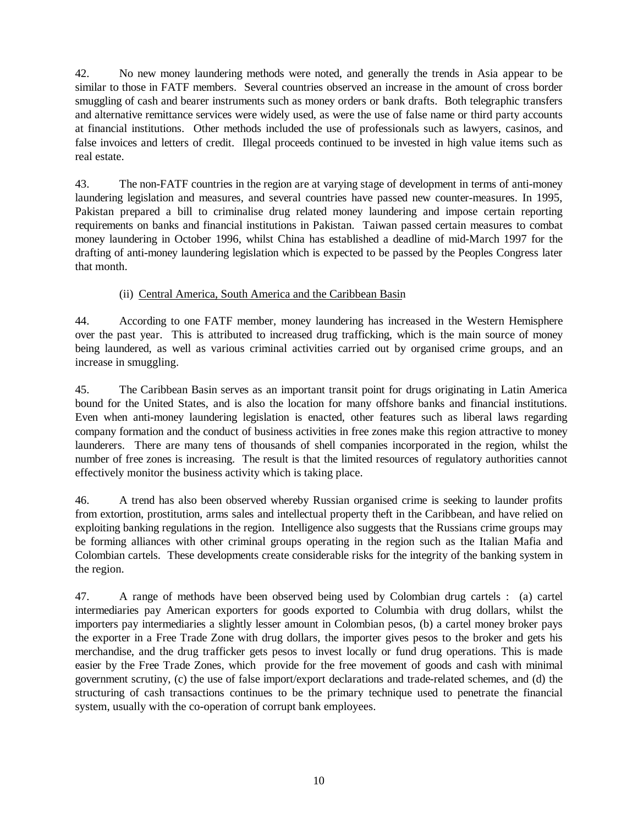42. No new money laundering methods were noted, and generally the trends in Asia appear to be similar to those in FATF members. Several countries observed an increase in the amount of cross border smuggling of cash and bearer instruments such as money orders or bank drafts. Both telegraphic transfers and alternative remittance services were widely used, as were the use of false name or third party accounts at financial institutions. Other methods included the use of professionals such as lawyers, casinos, and false invoices and letters of credit. Illegal proceeds continued to be invested in high value items such as real estate.

43. The non-FATF countries in the region are at varying stage of development in terms of anti-money laundering legislation and measures, and several countries have passed new counter-measures. In 1995, Pakistan prepared a bill to criminalise drug related money laundering and impose certain reporting requirements on banks and financial institutions in Pakistan. Taiwan passed certain measures to combat money laundering in October 1996, whilst China has established a deadline of mid-March 1997 for the drafting of anti-money laundering legislation which is expected to be passed by the Peoples Congress later that month.

# (ii) Central America, South America and the Caribbean Basin

44. According to one FATF member, money laundering has increased in the Western Hemisphere over the past year. This is attributed to increased drug trafficking, which is the main source of money being laundered, as well as various criminal activities carried out by organised crime groups, and an increase in smuggling.

45. The Caribbean Basin serves as an important transit point for drugs originating in Latin America bound for the United States, and is also the location for many offshore banks and financial institutions. Even when anti-money laundering legislation is enacted, other features such as liberal laws regarding company formation and the conduct of business activities in free zones make this region attractive to money launderers. There are many tens of thousands of shell companies incorporated in the region, whilst the number of free zones is increasing. The result is that the limited resources of regulatory authorities cannot effectively monitor the business activity which is taking place.

46. A trend has also been observed whereby Russian organised crime is seeking to launder profits from extortion, prostitution, arms sales and intellectual property theft in the Caribbean, and have relied on exploiting banking regulations in the region. Intelligence also suggests that the Russians crime groups may be forming alliances with other criminal groups operating in the region such as the Italian Mafia and Colombian cartels. These developments create considerable risks for the integrity of the banking system in the region.

47. A range of methods have been observed being used by Colombian drug cartels : (a) cartel intermediaries pay American exporters for goods exported to Columbia with drug dollars, whilst the importers pay intermediaries a slightly lesser amount in Colombian pesos, (b) a cartel money broker pays the exporter in a Free Trade Zone with drug dollars, the importer gives pesos to the broker and gets his merchandise, and the drug trafficker gets pesos to invest locally or fund drug operations. This is made easier by the Free Trade Zones, which provide for the free movement of goods and cash with minimal government scrutiny, (c) the use of false import/export declarations and trade-related schemes, and (d) the structuring of cash transactions continues to be the primary technique used to penetrate the financial system, usually with the co-operation of corrupt bank employees.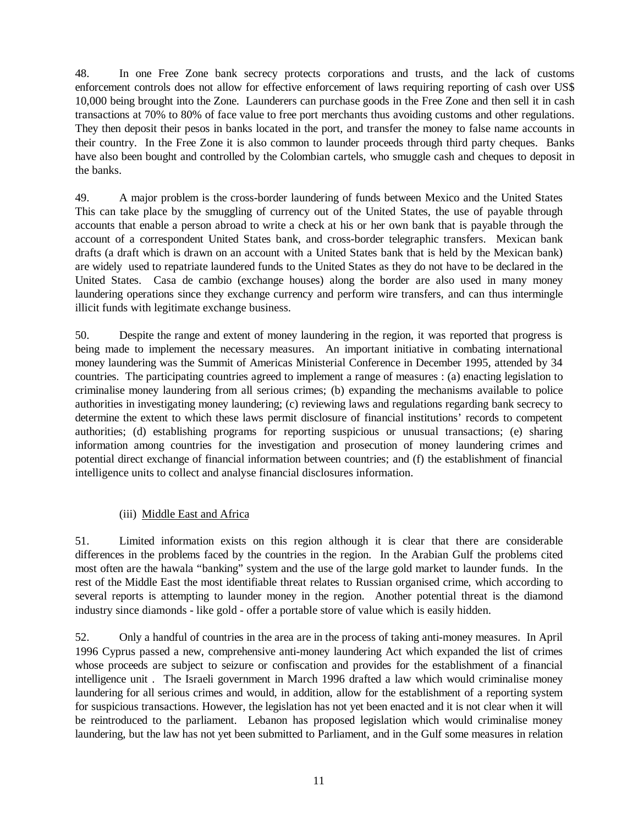48. In one Free Zone bank secrecy protects corporations and trusts, and the lack of customs enforcement controls does not allow for effective enforcement of laws requiring reporting of cash over US\$ 10,000 being brought into the Zone. Launderers can purchase goods in the Free Zone and then sell it in cash transactions at 70% to 80% of face value to free port merchants thus avoiding customs and other regulations. They then deposit their pesos in banks located in the port, and transfer the money to false name accounts in their country. In the Free Zone it is also common to launder proceeds through third party cheques. Banks have also been bought and controlled by the Colombian cartels, who smuggle cash and cheques to deposit in the banks.

49. A major problem is the cross-border laundering of funds between Mexico and the United States This can take place by the smuggling of currency out of the United States, the use of payable through accounts that enable a person abroad to write a check at his or her own bank that is payable through the account of a correspondent United States bank, and cross-border telegraphic transfers. Mexican bank drafts (a draft which is drawn on an account with a United States bank that is held by the Mexican bank) are widely used to repatriate laundered funds to the United States as they do not have to be declared in the United States. Casa de cambio (exchange houses) along the border are also used in many money laundering operations since they exchange currency and perform wire transfers, and can thus intermingle illicit funds with legitimate exchange business.

50. Despite the range and extent of money laundering in the region, it was reported that progress is being made to implement the necessary measures. An important initiative in combating international money laundering was the Summit of Americas Ministerial Conference in December 1995, attended by 34 countries. The participating countries agreed to implement a range of measures : (a) enacting legislation to criminalise money laundering from all serious crimes; (b) expanding the mechanisms available to police authorities in investigating money laundering; (c) reviewing laws and regulations regarding bank secrecy to determine the extent to which these laws permit disclosure of financial institutions' records to competent authorities; (d) establishing programs for reporting suspicious or unusual transactions; (e) sharing information among countries for the investigation and prosecution of money laundering crimes and potential direct exchange of financial information between countries; and (f) the establishment of financial intelligence units to collect and analyse financial disclosures information.

#### (iii) Middle East and Africa

51. Limited information exists on this region although it is clear that there are considerable differences in the problems faced by the countries in the region. In the Arabian Gulf the problems cited most often are the hawala "banking" system and the use of the large gold market to launder funds. In the rest of the Middle East the most identifiable threat relates to Russian organised crime, which according to several reports is attempting to launder money in the region. Another potential threat is the diamond industry since diamonds - like gold - offer a portable store of value which is easily hidden.

52. Only a handful of countries in the area are in the process of taking anti-money measures. In April 1996 Cyprus passed a new, comprehensive anti-money laundering Act which expanded the list of crimes whose proceeds are subject to seizure or confiscation and provides for the establishment of a financial intelligence unit . The Israeli government in March 1996 drafted a law which would criminalise money laundering for all serious crimes and would, in addition, allow for the establishment of a reporting system for suspicious transactions. However, the legislation has not yet been enacted and it is not clear when it will be reintroduced to the parliament. Lebanon has proposed legislation which would criminalise money laundering, but the law has not yet been submitted to Parliament, and in the Gulf some measures in relation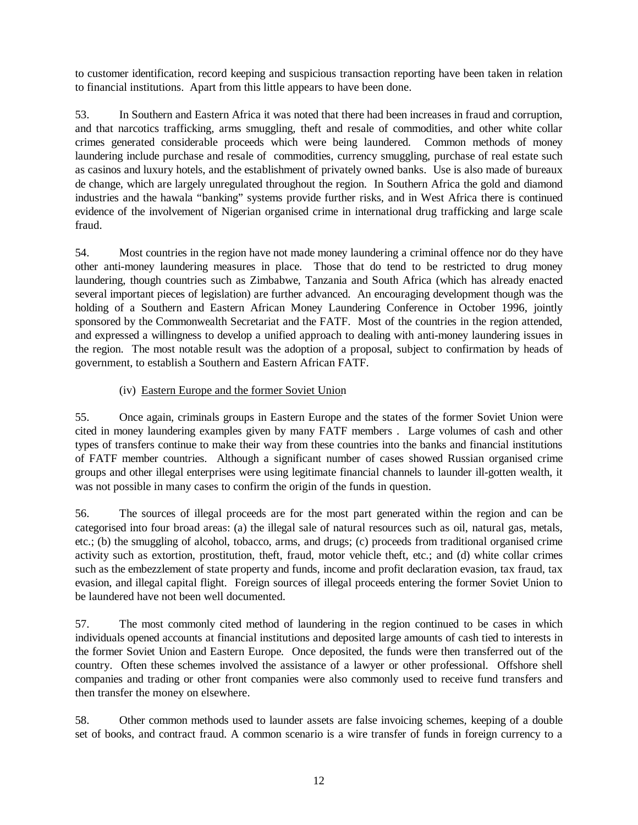to customer identification, record keeping and suspicious transaction reporting have been taken in relation to financial institutions. Apart from this little appears to have been done.

53. In Southern and Eastern Africa it was noted that there had been increases in fraud and corruption, and that narcotics trafficking, arms smuggling, theft and resale of commodities, and other white collar crimes generated considerable proceeds which were being laundered. Common methods of money laundering include purchase and resale of commodities, currency smuggling, purchase of real estate such as casinos and luxury hotels, and the establishment of privately owned banks. Use is also made of bureaux de change, which are largely unregulated throughout the region. In Southern Africa the gold and diamond industries and the hawala "banking" systems provide further risks, and in West Africa there is continued evidence of the involvement of Nigerian organised crime in international drug trafficking and large scale fraud.

54. Most countries in the region have not made money laundering a criminal offence nor do they have other anti-money laundering measures in place. Those that do tend to be restricted to drug money laundering, though countries such as Zimbabwe, Tanzania and South Africa (which has already enacted several important pieces of legislation) are further advanced. An encouraging development though was the holding of a Southern and Eastern African Money Laundering Conference in October 1996, jointly sponsored by the Commonwealth Secretariat and the FATF. Most of the countries in the region attended, and expressed a willingness to develop a unified approach to dealing with anti-money laundering issues in the region. The most notable result was the adoption of a proposal, subject to confirmation by heads of government, to establish a Southern and Eastern African FATF.

# (iv) Eastern Europe and the former Soviet Union

55. Once again, criminals groups in Eastern Europe and the states of the former Soviet Union were cited in money laundering examples given by many FATF members . Large volumes of cash and other types of transfers continue to make their way from these countries into the banks and financial institutions of FATF member countries. Although a significant number of cases showed Russian organised crime groups and other illegal enterprises were using legitimate financial channels to launder ill-gotten wealth, it was not possible in many cases to confirm the origin of the funds in question.

56. The sources of illegal proceeds are for the most part generated within the region and can be categorised into four broad areas: (a) the illegal sale of natural resources such as oil, natural gas, metals, etc.; (b) the smuggling of alcohol, tobacco, arms, and drugs; (c) proceeds from traditional organised crime activity such as extortion, prostitution, theft, fraud, motor vehicle theft, etc.; and (d) white collar crimes such as the embezzlement of state property and funds, income and profit declaration evasion, tax fraud, tax evasion, and illegal capital flight. Foreign sources of illegal proceeds entering the former Soviet Union to be laundered have not been well documented.

57. The most commonly cited method of laundering in the region continued to be cases in which individuals opened accounts at financial institutions and deposited large amounts of cash tied to interests in the former Soviet Union and Eastern Europe. Once deposited, the funds were then transferred out of the country. Often these schemes involved the assistance of a lawyer or other professional. Offshore shell companies and trading or other front companies were also commonly used to receive fund transfers and then transfer the money on elsewhere.

58. Other common methods used to launder assets are false invoicing schemes, keeping of a double set of books, and contract fraud. A common scenario is a wire transfer of funds in foreign currency to a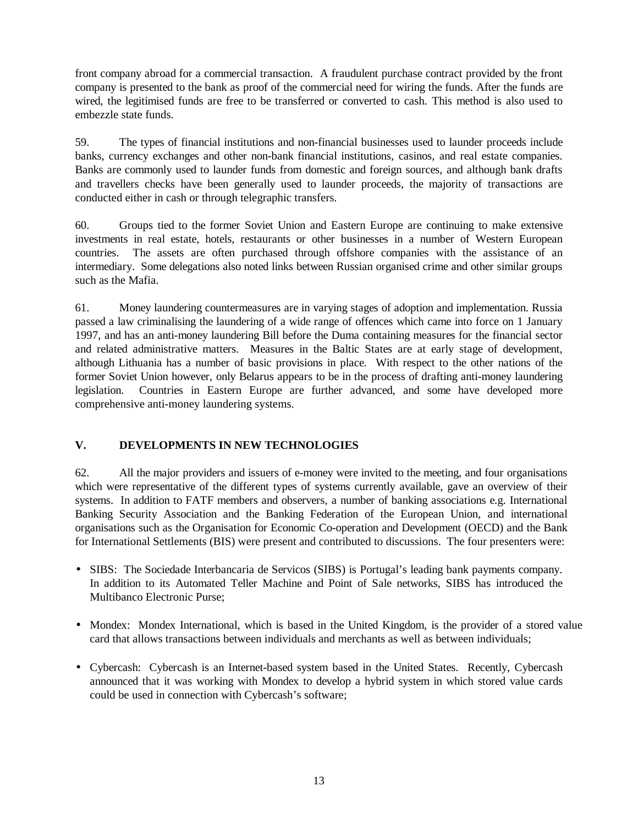front company abroad for a commercial transaction. A fraudulent purchase contract provided by the front company is presented to the bank as proof of the commercial need for wiring the funds. After the funds are wired, the legitimised funds are free to be transferred or converted to cash. This method is also used to embezzle state funds.

59. The types of financial institutions and non-financial businesses used to launder proceeds include banks, currency exchanges and other non-bank financial institutions, casinos, and real estate companies. Banks are commonly used to launder funds from domestic and foreign sources, and although bank drafts and travellers checks have been generally used to launder proceeds, the majority of transactions are conducted either in cash or through telegraphic transfers.

60. Groups tied to the former Soviet Union and Eastern Europe are continuing to make extensive investments in real estate, hotels, restaurants or other businesses in a number of Western European countries. The assets are often purchased through offshore companies with the assistance of an intermediary. Some delegations also noted links between Russian organised crime and other similar groups such as the Mafia.

61. Money laundering countermeasures are in varying stages of adoption and implementation. Russia passed a law criminalising the laundering of a wide range of offences which came into force on 1 January 1997, and has an anti-money laundering Bill before the Duma containing measures for the financial sector and related administrative matters. Measures in the Baltic States are at early stage of development, although Lithuania has a number of basic provisions in place. With respect to the other nations of the former Soviet Union however, only Belarus appears to be in the process of drafting anti-money laundering legislation. Countries in Eastern Europe are further advanced, and some have developed more comprehensive anti-money laundering systems.

#### **V. DEVELOPMENTS IN NEW TECHNOLOGIES**

62. All the major providers and issuers of e-money were invited to the meeting, and four organisations which were representative of the different types of systems currently available, gave an overview of their systems. In addition to FATF members and observers, a number of banking associations e.g. International Banking Security Association and the Banking Federation of the European Union, and international organisations such as the Organisation for Economic Co-operation and Development (OECD) and the Bank for International Settlements (BIS) were present and contributed to discussions. The four presenters were:

- SIBS: The Sociedade Interbancaria de Servicos (SIBS) is Portugal's leading bank payments company. In addition to its Automated Teller Machine and Point of Sale networks, SIBS has introduced the Multibanco Electronic Purse;
- Mondex: Mondex International, which is based in the United Kingdom, is the provider of a stored value card that allows transactions between individuals and merchants as well as between individuals;
- Cybercash: Cybercash is an Internet-based system based in the United States. Recently, Cybercash announced that it was working with Mondex to develop a hybrid system in which stored value cards could be used in connection with Cybercash's software;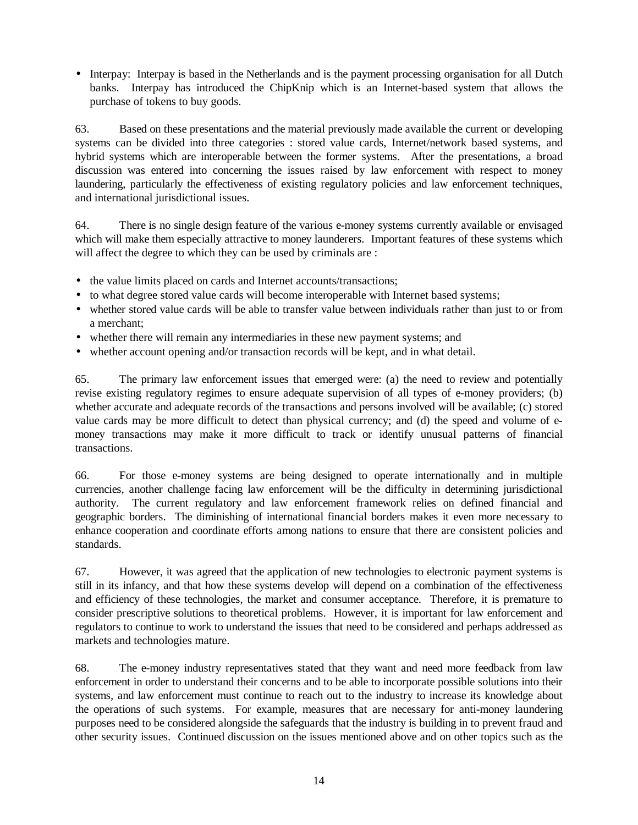• Interpay: Interpay is based in the Netherlands and is the payment processing organisation for all Dutch banks. Interpay has introduced the ChipKnip which is an Internet-based system that allows the purchase of tokens to buy goods.

63. Based on these presentations and the material previously made available the current or developing systems can be divided into three categories : stored value cards, Internet/network based systems, and hybrid systems which are interoperable between the former systems. After the presentations, a broad discussion was entered into concerning the issues raised by law enforcement with respect to money laundering, particularly the effectiveness of existing regulatory policies and law enforcement techniques, and international jurisdictional issues.

64. There is no single design feature of the various e-money systems currently available or envisaged which will make them especially attractive to money launderers. Important features of these systems which will affect the degree to which they can be used by criminals are :

- the value limits placed on cards and Internet accounts/transactions;
- to what degree stored value cards will become interoperable with Internet based systems;
- whether stored value cards will be able to transfer value between individuals rather than just to or from a merchant;
- whether there will remain any intermediaries in these new payment systems; and
- whether account opening and/or transaction records will be kept, and in what detail.

65. The primary law enforcement issues that emerged were: (a) the need to review and potentially revise existing regulatory regimes to ensure adequate supervision of all types of e-money providers; (b) whether accurate and adequate records of the transactions and persons involved will be available; (c) stored value cards may be more difficult to detect than physical currency; and (d) the speed and volume of emoney transactions may make it more difficult to track or identify unusual patterns of financial transactions.

66. For those e-money systems are being designed to operate internationally and in multiple currencies, another challenge facing law enforcement will be the difficulty in determining jurisdictional authority. The current regulatory and law enforcement framework relies on defined financial and geographic borders. The diminishing of international financial borders makes it even more necessary to enhance cooperation and coordinate efforts among nations to ensure that there are consistent policies and standards.

67. However, it was agreed that the application of new technologies to electronic payment systems is still in its infancy, and that how these systems develop will depend on a combination of the effectiveness and efficiency of these technologies, the market and consumer acceptance. Therefore, it is premature to consider prescriptive solutions to theoretical problems. However, it is important for law enforcement and regulators to continue to work to understand the issues that need to be considered and perhaps addressed as markets and technologies mature.

68. The e-money industry representatives stated that they want and need more feedback from law enforcement in order to understand their concerns and to be able to incorporate possible solutions into their systems, and law enforcement must continue to reach out to the industry to increase its knowledge about the operations of such systems. For example, measures that are necessary for anti-money laundering purposes need to be considered alongside the safeguards that the industry is building in to prevent fraud and other security issues. Continued discussion on the issues mentioned above and on other topics such as the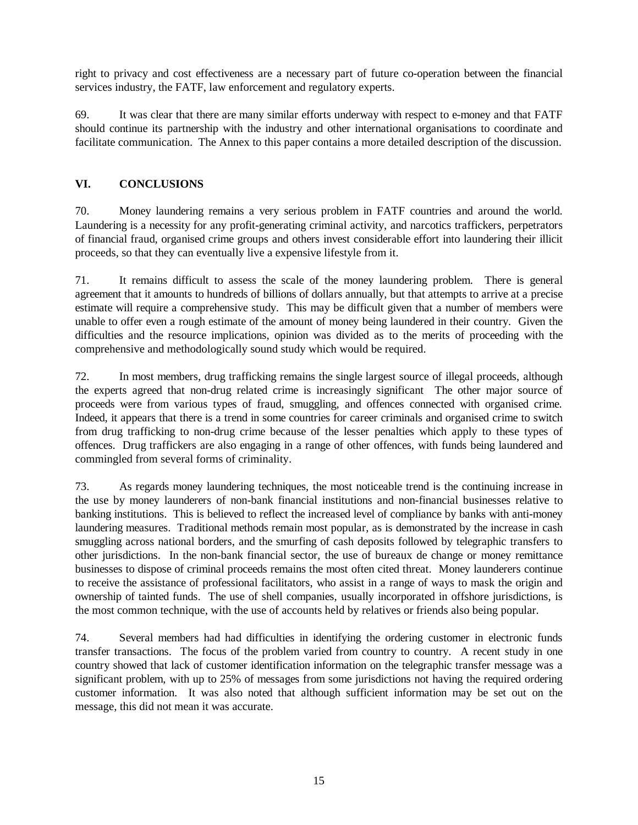right to privacy and cost effectiveness are a necessary part of future co-operation between the financial services industry, the FATF, law enforcement and regulatory experts.

69. It was clear that there are many similar efforts underway with respect to e-money and that FATF should continue its partnership with the industry and other international organisations to coordinate and facilitate communication. The Annex to this paper contains a more detailed description of the discussion.

# **VI. CONCLUSIONS**

70. Money laundering remains a very serious problem in FATF countries and around the world. Laundering is a necessity for any profit-generating criminal activity, and narcotics traffickers, perpetrators of financial fraud, organised crime groups and others invest considerable effort into laundering their illicit proceeds, so that they can eventually live a expensive lifestyle from it.

71. It remains difficult to assess the scale of the money laundering problem. There is general agreement that it amounts to hundreds of billions of dollars annually, but that attempts to arrive at a precise estimate will require a comprehensive study. This may be difficult given that a number of members were unable to offer even a rough estimate of the amount of money being laundered in their country. Given the difficulties and the resource implications, opinion was divided as to the merits of proceeding with the comprehensive and methodologically sound study which would be required.

72. In most members, drug trafficking remains the single largest source of illegal proceeds, although the experts agreed that non-drug related crime is increasingly significant The other major source of proceeds were from various types of fraud, smuggling, and offences connected with organised crime. Indeed, it appears that there is a trend in some countries for career criminals and organised crime to switch from drug trafficking to non-drug crime because of the lesser penalties which apply to these types of offences. Drug traffickers are also engaging in a range of other offences, with funds being laundered and commingled from several forms of criminality.

73. As regards money laundering techniques, the most noticeable trend is the continuing increase in the use by money launderers of non-bank financial institutions and non-financial businesses relative to banking institutions. This is believed to reflect the increased level of compliance by banks with anti-money laundering measures. Traditional methods remain most popular, as is demonstrated by the increase in cash smuggling across national borders, and the smurfing of cash deposits followed by telegraphic transfers to other jurisdictions. In the non-bank financial sector, the use of bureaux de change or money remittance businesses to dispose of criminal proceeds remains the most often cited threat. Money launderers continue to receive the assistance of professional facilitators, who assist in a range of ways to mask the origin and ownership of tainted funds. The use of shell companies, usually incorporated in offshore jurisdictions, is the most common technique, with the use of accounts held by relatives or friends also being popular.

74. Several members had had difficulties in identifying the ordering customer in electronic funds transfer transactions. The focus of the problem varied from country to country. A recent study in one country showed that lack of customer identification information on the telegraphic transfer message was a significant problem, with up to 25% of messages from some jurisdictions not having the required ordering customer information. It was also noted that although sufficient information may be set out on the message, this did not mean it was accurate.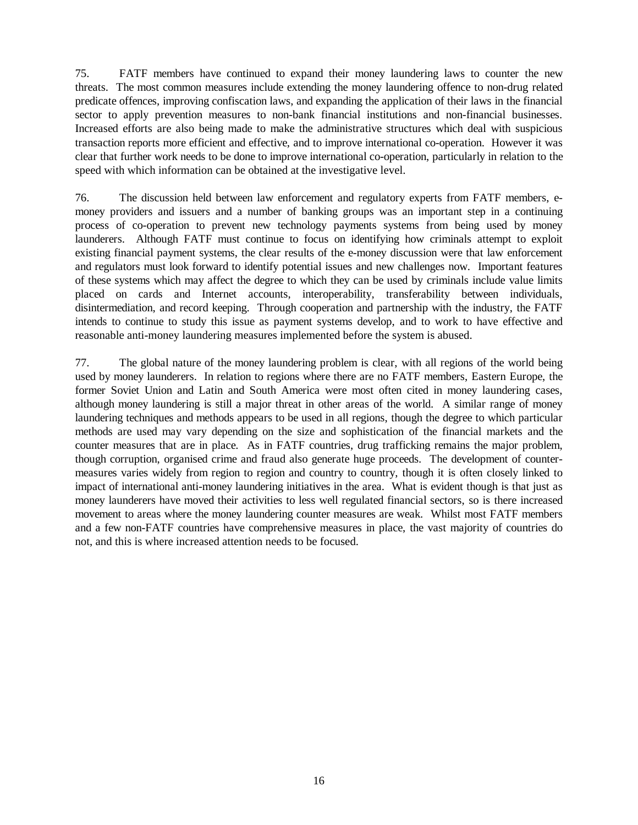75. FATF members have continued to expand their money laundering laws to counter the new threats. The most common measures include extending the money laundering offence to non-drug related predicate offences, improving confiscation laws, and expanding the application of their laws in the financial sector to apply prevention measures to non-bank financial institutions and non-financial businesses. Increased efforts are also being made to make the administrative structures which deal with suspicious transaction reports more efficient and effective, and to improve international co-operation. However it was clear that further work needs to be done to improve international co-operation, particularly in relation to the speed with which information can be obtained at the investigative level.

76. The discussion held between law enforcement and regulatory experts from FATF members, emoney providers and issuers and a number of banking groups was an important step in a continuing process of co-operation to prevent new technology payments systems from being used by money launderers. Although FATF must continue to focus on identifying how criminals attempt to exploit existing financial payment systems, the clear results of the e-money discussion were that law enforcement and regulators must look forward to identify potential issues and new challenges now. Important features of these systems which may affect the degree to which they can be used by criminals include value limits placed on cards and Internet accounts, interoperability, transferability between individuals, disintermediation, and record keeping. Through cooperation and partnership with the industry, the FATF intends to continue to study this issue as payment systems develop, and to work to have effective and reasonable anti-money laundering measures implemented before the system is abused.

77. The global nature of the money laundering problem is clear, with all regions of the world being used by money launderers. In relation to regions where there are no FATF members, Eastern Europe, the former Soviet Union and Latin and South America were most often cited in money laundering cases, although money laundering is still a major threat in other areas of the world. A similar range of money laundering techniques and methods appears to be used in all regions, though the degree to which particular methods are used may vary depending on the size and sophistication of the financial markets and the counter measures that are in place. As in FATF countries, drug trafficking remains the major problem, though corruption, organised crime and fraud also generate huge proceeds. The development of countermeasures varies widely from region to region and country to country, though it is often closely linked to impact of international anti-money laundering initiatives in the area. What is evident though is that just as money launderers have moved their activities to less well regulated financial sectors, so is there increased movement to areas where the money laundering counter measures are weak. Whilst most FATF members and a few non-FATF countries have comprehensive measures in place, the vast majority of countries do not, and this is where increased attention needs to be focused.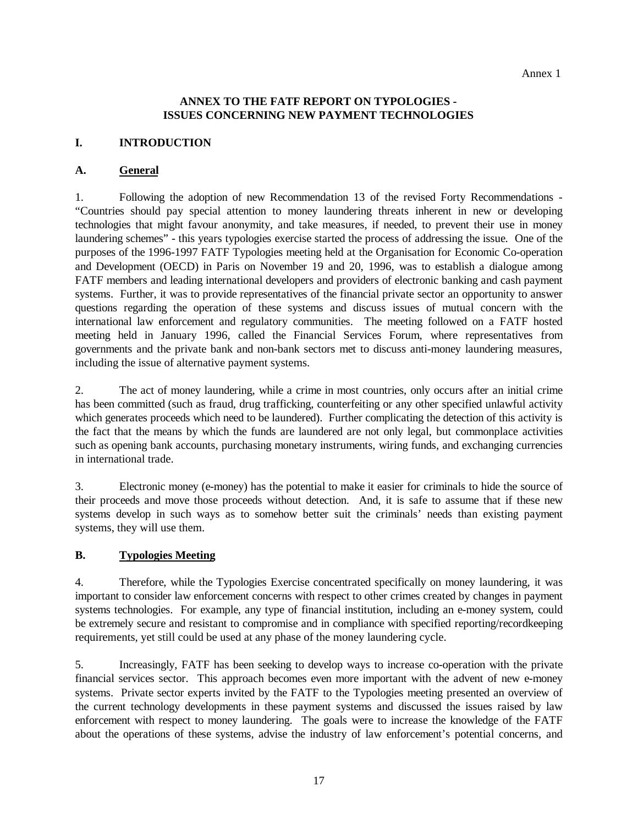#### **ANNEX TO THE FATF REPORT ON TYPOLOGIES - ISSUES CONCERNING NEW PAYMENT TECHNOLOGIES**

#### **I. INTRODUCTION**

#### **A. General**

1. Following the adoption of new Recommendation 13 of the revised Forty Recommendations - "Countries should pay special attention to money laundering threats inherent in new or developing technologies that might favour anonymity, and take measures, if needed, to prevent their use in money laundering schemes" - this years typologies exercise started the process of addressing the issue. One of the purposes of the 1996-1997 FATF Typologies meeting held at the Organisation for Economic Co-operation and Development (OECD) in Paris on November 19 and 20, 1996, was to establish a dialogue among FATF members and leading international developers and providers of electronic banking and cash payment systems. Further, it was to provide representatives of the financial private sector an opportunity to answer questions regarding the operation of these systems and discuss issues of mutual concern with the international law enforcement and regulatory communities. The meeting followed on a FATF hosted meeting held in January 1996, called the Financial Services Forum, where representatives from governments and the private bank and non-bank sectors met to discuss anti-money laundering measures, including the issue of alternative payment systems.

2. The act of money laundering, while a crime in most countries, only occurs after an initial crime has been committed (such as fraud, drug trafficking, counterfeiting or any other specified unlawful activity which generates proceeds which need to be laundered). Further complicating the detection of this activity is the fact that the means by which the funds are laundered are not only legal, but commonplace activities such as opening bank accounts, purchasing monetary instruments, wiring funds, and exchanging currencies in international trade.

3. Electronic money (e-money) has the potential to make it easier for criminals to hide the source of their proceeds and move those proceeds without detection. And, it is safe to assume that if these new systems develop in such ways as to somehow better suit the criminals' needs than existing payment systems, they will use them.

#### **B. Typologies Meeting**

4. Therefore, while the Typologies Exercise concentrated specifically on money laundering, it was important to consider law enforcement concerns with respect to other crimes created by changes in payment systems technologies. For example, any type of financial institution, including an e-money system, could be extremely secure and resistant to compromise and in compliance with specified reporting/recordkeeping requirements, yet still could be used at any phase of the money laundering cycle.

5. Increasingly, FATF has been seeking to develop ways to increase co-operation with the private financial services sector. This approach becomes even more important with the advent of new e-money systems. Private sector experts invited by the FATF to the Typologies meeting presented an overview of the current technology developments in these payment systems and discussed the issues raised by law enforcement with respect to money laundering. The goals were to increase the knowledge of the FATF about the operations of these systems, advise the industry of law enforcement's potential concerns, and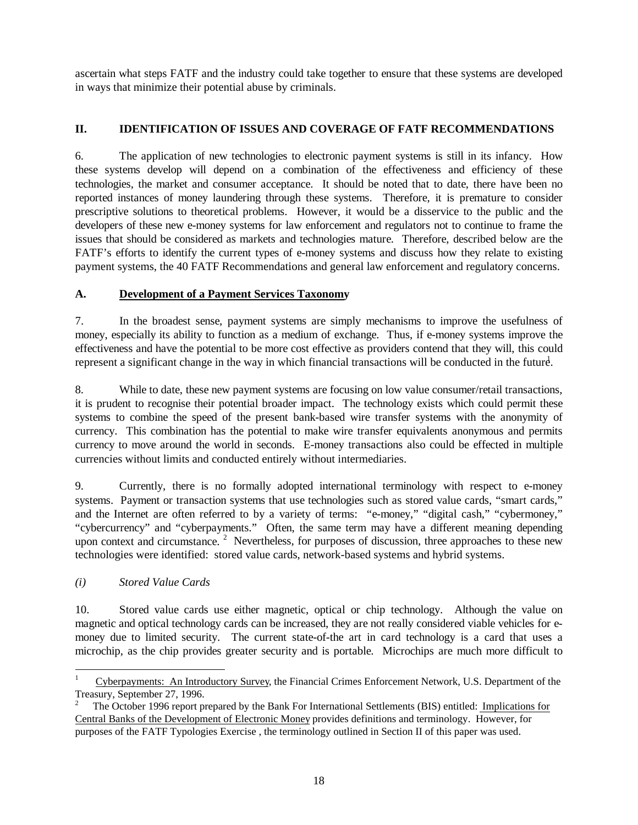ascertain what steps FATF and the industry could take together to ensure that these systems are developed in ways that minimize their potential abuse by criminals.

# **II. IDENTIFICATION OF ISSUES AND COVERAGE OF FATF RECOMMENDATIONS**

6. The application of new technologies to electronic payment systems is still in its infancy. How these systems develop will depend on a combination of the effectiveness and efficiency of these technologies, the market and consumer acceptance. It should be noted that to date, there have been no reported instances of money laundering through these systems. Therefore, it is premature to consider prescriptive solutions to theoretical problems. However, it would be a disservice to the public and the developers of these new e-money systems for law enforcement and regulators not to continue to frame the issues that should be considered as markets and technologies mature. Therefore, described below are the FATF's efforts to identify the current types of e-money systems and discuss how they relate to existing payment systems, the 40 FATF Recommendations and general law enforcement and regulatory concerns.

#### **A. Development of a Payment Services Taxonomy**

7. In the broadest sense, payment systems are simply mechanisms to improve the usefulness of money, especially its ability to function as a medium of exchange. Thus, if e-money systems improve the effectiveness and have the potential to be more cost effective as providers contend that they will, this could represent a significant change in the way in which financial transactions will be conducted in the future. 1

8. While to date, these new payment systems are focusing on low value consumer/retail transactions, it is prudent to recognise their potential broader impact. The technology exists which could permit these systems to combine the speed of the present bank-based wire transfer systems with the anonymity of currency. This combination has the potential to make wire transfer equivalents anonymous and permits currency to move around the world in seconds. E-money transactions also could be effected in multiple currencies without limits and conducted entirely without intermediaries.

9. Currently, there is no formally adopted international terminology with respect to e-money systems. Payment or transaction systems that use technologies such as stored value cards, "smart cards," and the Internet are often referred to by a variety of terms: "e-money," "digital cash," "cybermoney," "cybercurrency" and "cyberpayments." Often, the same term may have a different meaning depending upon context and circumstance.<sup>2</sup> Nevertheless, for purposes of discussion, three approaches to these new technologies were identified: stored value cards, network-based systems and hybrid systems.

#### *(i) Stored Value Cards*

 $\overline{a}$ 

10. Stored value cards use either magnetic, optical or chip technology. Although the value on magnetic and optical technology cards can be increased, they are not really considered viable vehicles for emoney due to limited security. The current state-of-the art in card technology is a card that uses a microchip, as the chip provides greater security and is portable. Microchips are much more difficult to

<sup>1</sup> Cyberpayments: An Introductory Survey, the Financial Crimes Enforcement Network, U.S. Department of the Treasury, September 27, 1996.

<sup>2</sup> The October 1996 report prepared by the Bank For International Settlements (BIS) entitled: Implications for Central Banks of the Development of Electronic Money provides definitions and terminology. However, for purposes of the FATF Typologies Exercise , the terminology outlined in Section II of this paper was used.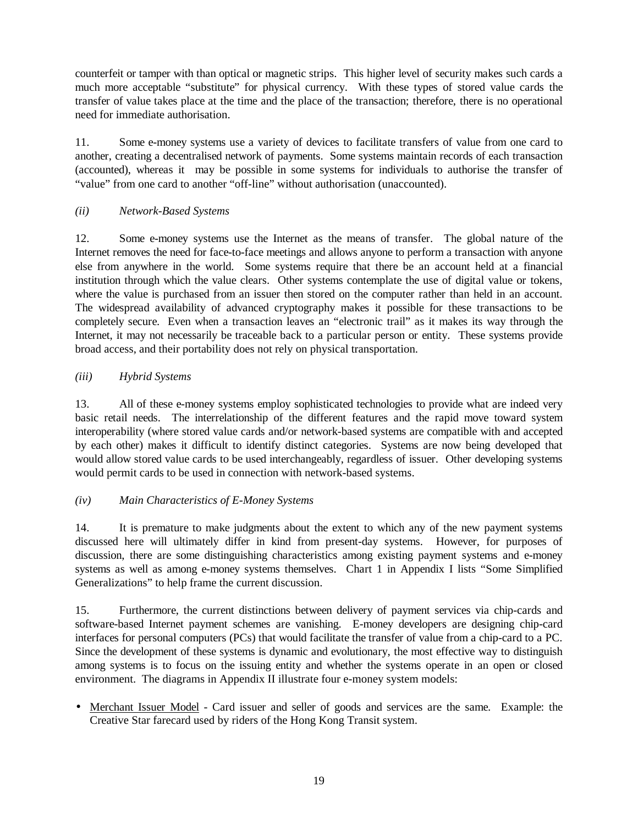counterfeit or tamper with than optical or magnetic strips. This higher level of security makes such cards a much more acceptable "substitute" for physical currency. With these types of stored value cards the transfer of value takes place at the time and the place of the transaction; therefore, there is no operational need for immediate authorisation.

11. Some e-money systems use a variety of devices to facilitate transfers of value from one card to another, creating a decentralised network of payments. Some systems maintain records of each transaction (accounted), whereas it may be possible in some systems for individuals to authorise the transfer of "value" from one card to another "off-line" without authorisation (unaccounted).

#### *(ii) Network-Based Systems*

12. Some e-money systems use the Internet as the means of transfer. The global nature of the Internet removes the need for face-to-face meetings and allows anyone to perform a transaction with anyone else from anywhere in the world. Some systems require that there be an account held at a financial institution through which the value clears. Other systems contemplate the use of digital value or tokens, where the value is purchased from an issuer then stored on the computer rather than held in an account. The widespread availability of advanced cryptography makes it possible for these transactions to be completely secure. Even when a transaction leaves an "electronic trail" as it makes its way through the Internet, it may not necessarily be traceable back to a particular person or entity. These systems provide broad access, and their portability does not rely on physical transportation.

#### *(iii) Hybrid Systems*

13. All of these e-money systems employ sophisticated technologies to provide what are indeed very basic retail needs. The interrelationship of the different features and the rapid move toward system interoperability (where stored value cards and/or network-based systems are compatible with and accepted by each other) makes it difficult to identify distinct categories. Systems are now being developed that would allow stored value cards to be used interchangeably, regardless of issuer. Other developing systems would permit cards to be used in connection with network-based systems.

#### *(iv) Main Characteristics of E-Money Systems*

14. It is premature to make judgments about the extent to which any of the new payment systems discussed here will ultimately differ in kind from present-day systems. However, for purposes of discussion, there are some distinguishing characteristics among existing payment systems and e-money systems as well as among e-money systems themselves. Chart 1 in Appendix I lists "Some Simplified Generalizations" to help frame the current discussion.

15. Furthermore, the current distinctions between delivery of payment services via chip-cards and software-based Internet payment schemes are vanishing. E-money developers are designing chip-card interfaces for personal computers (PCs) that would facilitate the transfer of value from a chip-card to a PC. Since the development of these systems is dynamic and evolutionary, the most effective way to distinguish among systems is to focus on the issuing entity and whether the systems operate in an open or closed environment. The diagrams in Appendix II illustrate four e-money system models:

• Merchant Issuer Model - Card issuer and seller of goods and services are the same. Example: the Creative Star farecard used by riders of the Hong Kong Transit system.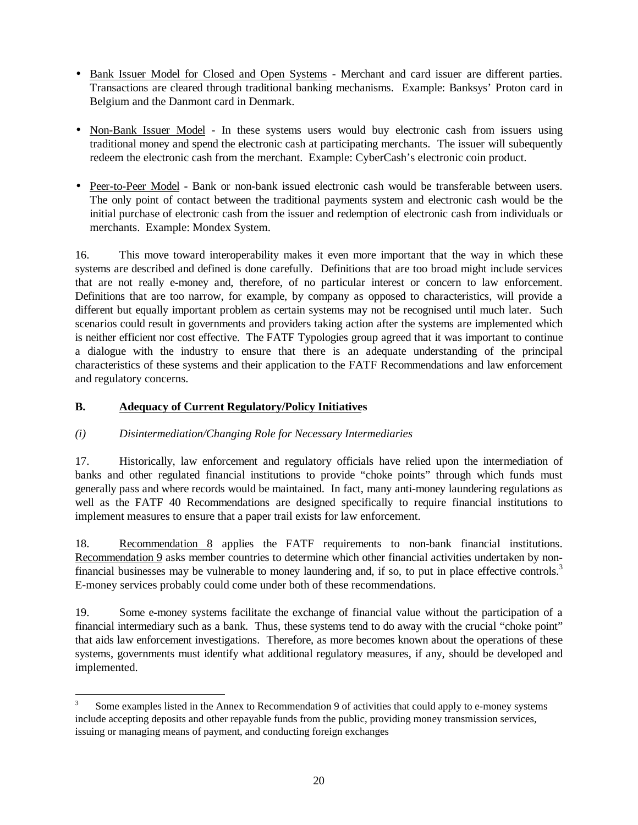- Bank Issuer Model for Closed and Open Systems Merchant and card issuer are different parties. Transactions are cleared through traditional banking mechanisms. Example: Banksys' Proton card in Belgium and the Danmont card in Denmark.
- Non-Bank Issuer Model In these systems users would buy electronic cash from issuers using traditional money and spend the electronic cash at participating merchants. The issuer will subequently redeem the electronic cash from the merchant. Example: CyberCash's electronic coin product.
- Peer-to-Peer Model Bank or non-bank issued electronic cash would be transferable between users. The only point of contact between the traditional payments system and electronic cash would be the initial purchase of electronic cash from the issuer and redemption of electronic cash from individuals or merchants. Example: Mondex System.

16. This move toward interoperability makes it even more important that the way in which these systems are described and defined is done carefully. Definitions that are too broad might include services that are not really e-money and, therefore, of no particular interest or concern to law enforcement. Definitions that are too narrow, for example, by company as opposed to characteristics, will provide a different but equally important problem as certain systems may not be recognised until much later. Such scenarios could result in governments and providers taking action after the systems are implemented which is neither efficient nor cost effective. The FATF Typologies group agreed that it was important to continue a dialogue with the industry to ensure that there is an adequate understanding of the principal characteristics of these systems and their application to the FATF Recommendations and law enforcement and regulatory concerns.

#### **B. Adequacy of Current Regulatory/Policy Initiatives**

# *(i) Disintermediation/Changing Role for Necessary Intermediaries*

17. Historically, law enforcement and regulatory officials have relied upon the intermediation of banks and other regulated financial institutions to provide "choke points" through which funds must generally pass and where records would be maintained. In fact, many anti-money laundering regulations as well as the FATF 40 Recommendations are designed specifically to require financial institutions to implement measures to ensure that a paper trail exists for law enforcement.

18. Recommendation 8 applies the FATF requirements to non-bank financial institutions. Recommendation 9 asks member countries to determine which other financial activities undertaken by nonfinancial businesses may be vulnerable to money laundering and, if so, to put in place effective controls.<sup>3</sup> E-money services probably could come under both of these recommendations.

19. Some e-money systems facilitate the exchange of financial value without the participation of a financial intermediary such as a bank. Thus, these systems tend to do away with the crucial "choke point" that aids law enforcement investigations. Therefore, as more becomes known about the operations of these systems, governments must identify what additional regulatory measures, if any, should be developed and implemented.

 $\overline{a}$ 3 Some examples listed in the Annex to Recommendation 9 of activities that could apply to e-money systems include accepting deposits and other repayable funds from the public, providing money transmission services, issuing or managing means of payment, and conducting foreign exchanges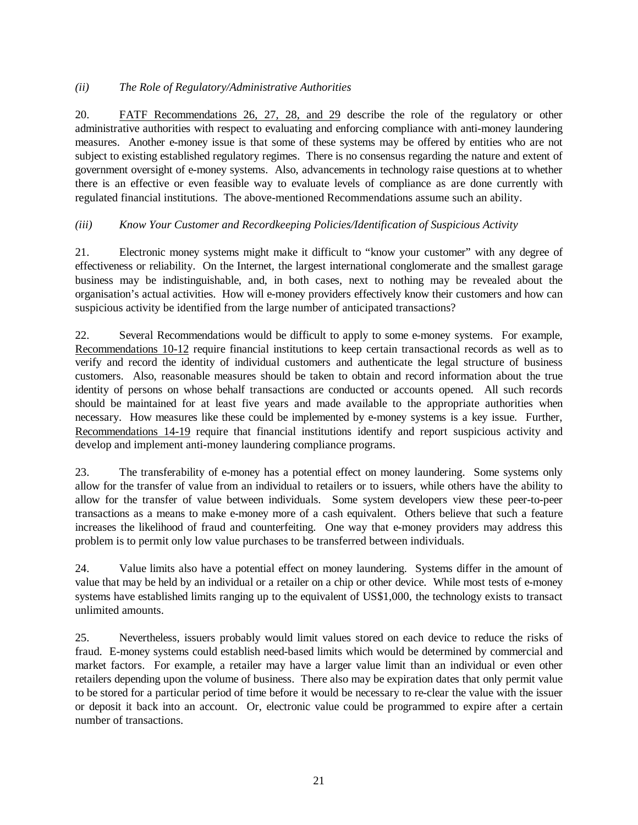#### *(ii) The Role of Regulatory/Administrative Authorities*

20. FATF Recommendations 26, 27, 28, and 29 describe the role of the regulatory or other administrative authorities with respect to evaluating and enforcing compliance with anti-money laundering measures. Another e-money issue is that some of these systems may be offered by entities who are not subject to existing established regulatory regimes. There is no consensus regarding the nature and extent of government oversight of e-money systems. Also, advancements in technology raise questions at to whether there is an effective or even feasible way to evaluate levels of compliance as are done currently with regulated financial institutions. The above-mentioned Recommendations assume such an ability.

# *(iii) Know Your Customer and Recordkeeping Policies/Identification of Suspicious Activity*

21. Electronic money systems might make it difficult to "know your customer" with any degree of effectiveness or reliability. On the Internet, the largest international conglomerate and the smallest garage business may be indistinguishable, and, in both cases, next to nothing may be revealed about the organisation's actual activities. How will e-money providers effectively know their customers and how can suspicious activity be identified from the large number of anticipated transactions?

22. Several Recommendations would be difficult to apply to some e-money systems. For example, Recommendations 10-12 require financial institutions to keep certain transactional records as well as to verify and record the identity of individual customers and authenticate the legal structure of business customers. Also, reasonable measures should be taken to obtain and record information about the true identity of persons on whose behalf transactions are conducted or accounts opened. All such records should be maintained for at least five years and made available to the appropriate authorities when necessary. How measures like these could be implemented by e-money systems is a key issue. Further, Recommendations 14-19 require that financial institutions identify and report suspicious activity and develop and implement anti-money laundering compliance programs.

23. The transferability of e-money has a potential effect on money laundering. Some systems only allow for the transfer of value from an individual to retailers or to issuers, while others have the ability to allow for the transfer of value between individuals. Some system developers view these peer-to-peer transactions as a means to make e-money more of a cash equivalent. Others believe that such a feature increases the likelihood of fraud and counterfeiting. One way that e-money providers may address this problem is to permit only low value purchases to be transferred between individuals.

24. Value limits also have a potential effect on money laundering. Systems differ in the amount of value that may be held by an individual or a retailer on a chip or other device. While most tests of e-money systems have established limits ranging up to the equivalent of US\$1,000, the technology exists to transact unlimited amounts.

25. Nevertheless, issuers probably would limit values stored on each device to reduce the risks of fraud. E-money systems could establish need-based limits which would be determined by commercial and market factors. For example, a retailer may have a larger value limit than an individual or even other retailers depending upon the volume of business. There also may be expiration dates that only permit value to be stored for a particular period of time before it would be necessary to re-clear the value with the issuer or deposit it back into an account. Or, electronic value could be programmed to expire after a certain number of transactions.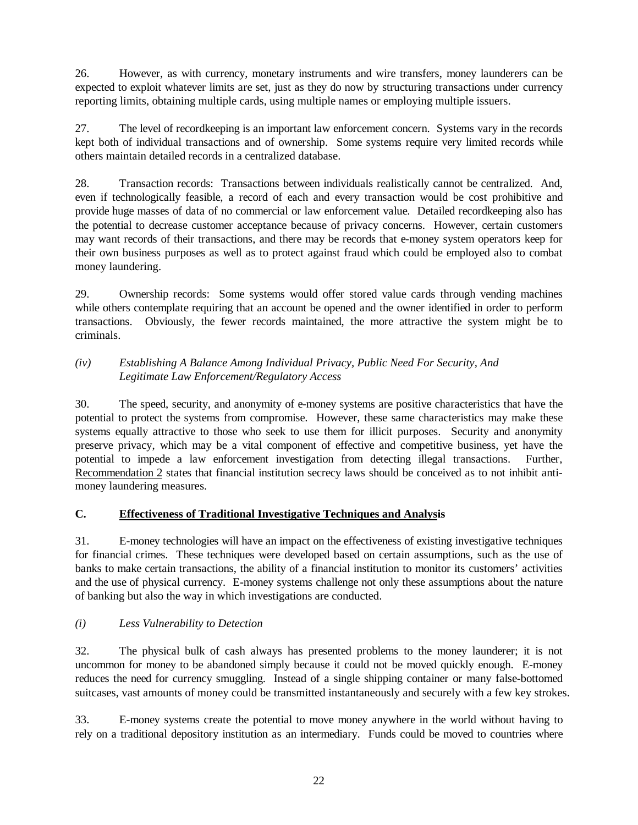26. However, as with currency, monetary instruments and wire transfers, money launderers can be expected to exploit whatever limits are set, just as they do now by structuring transactions under currency reporting limits, obtaining multiple cards, using multiple names or employing multiple issuers.

27. The level of recordkeeping is an important law enforcement concern. Systems vary in the records kept both of individual transactions and of ownership. Some systems require very limited records while others maintain detailed records in a centralized database.

28. Transaction records: Transactions between individuals realistically cannot be centralized. And, even if technologically feasible, a record of each and every transaction would be cost prohibitive and provide huge masses of data of no commercial or law enforcement value. Detailed recordkeeping also has the potential to decrease customer acceptance because of privacy concerns. However, certain customers may want records of their transactions, and there may be records that e-money system operators keep for their own business purposes as well as to protect against fraud which could be employed also to combat money laundering.

29. Ownership records: Some systems would offer stored value cards through vending machines while others contemplate requiring that an account be opened and the owner identified in order to perform transactions. Obviously, the fewer records maintained, the more attractive the system might be to criminals.

#### *(iv) Establishing A Balance Among Individual Privacy, Public Need For Security, And Legitimate Law Enforcement/Regulatory Access*

30. The speed, security, and anonymity of e-money systems are positive characteristics that have the potential to protect the systems from compromise. However, these same characteristics may make these systems equally attractive to those who seek to use them for illicit purposes. Security and anonymity preserve privacy, which may be a vital component of effective and competitive business, yet have the potential to impede a law enforcement investigation from detecting illegal transactions. Further, Recommendation 2 states that financial institution secrecy laws should be conceived as to not inhibit antimoney laundering measures.

# **C. Effectiveness of Traditional Investigative Techniques and Analysis**

31. E-money technologies will have an impact on the effectiveness of existing investigative techniques for financial crimes. These techniques were developed based on certain assumptions, such as the use of banks to make certain transactions, the ability of a financial institution to monitor its customers' activities and the use of physical currency. E-money systems challenge not only these assumptions about the nature of banking but also the way in which investigations are conducted.

# *(i) Less Vulnerability to Detection*

32. The physical bulk of cash always has presented problems to the money launderer; it is not uncommon for money to be abandoned simply because it could not be moved quickly enough. E-money reduces the need for currency smuggling. Instead of a single shipping container or many false-bottomed suitcases, vast amounts of money could be transmitted instantaneously and securely with a few key strokes.

33. E-money systems create the potential to move money anywhere in the world without having to rely on a traditional depository institution as an intermediary. Funds could be moved to countries where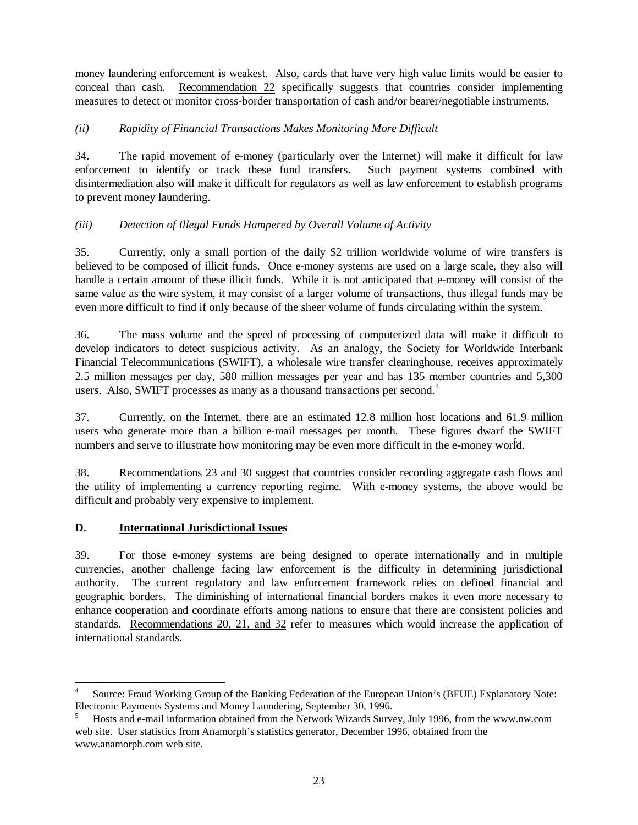money laundering enforcement is weakest. Also, cards that have very high value limits would be easier to conceal than cash. Recommendation 22 specifically suggests that countries consider implementing measures to detect or monitor cross-border transportation of cash and/or bearer/negotiable instruments.

# *(ii) Rapidity of Financial Transactions Makes Monitoring More Difficult*

34. The rapid movement of e-money (particularly over the Internet) will make it difficult for law enforcement to identify or track these fund transfers. Such payment systems combined with disintermediation also will make it difficult for regulators as well as law enforcement to establish programs to prevent money laundering.

# *(iii) Detection of Illegal Funds Hampered by Overall Volume of Activity*

35. Currently, only a small portion of the daily \$2 trillion worldwide volume of wire transfers is believed to be composed of illicit funds. Once e-money systems are used on a large scale, they also will handle a certain amount of these illicit funds. While it is not anticipated that e-money will consist of the same value as the wire system, it may consist of a larger volume of transactions, thus illegal funds may be even more difficult to find if only because of the sheer volume of funds circulating within the system.

36. The mass volume and the speed of processing of computerized data will make it difficult to develop indicators to detect suspicious activity. As an analogy, the Society for Worldwide Interbank Financial Telecommunications (SWIFT), a wholesale wire transfer clearinghouse, receives approximately 2.5 million messages per day, 580 million messages per year and has 135 member countries and 5,300 users. Also, SWIFT processes as many as a thousand transactions per second.<sup>4</sup>

37. Currently, on the Internet, there are an estimated 12.8 million host locations and 61.9 million users who generate more than a billion e-mail messages per month. These figures dwarf the SWIFT numbers and serve to illustrate how monitoring may be even more difficult in the e-money world.

38. Recommendations 23 and 30 suggest that countries consider recording aggregate cash flows and the utility of implementing a currency reporting regime. With e-money systems, the above would be difficult and probably very expensive to implement.

#### **D. International Jurisdictional Issues**

 $\overline{a}$ 

39. For those e-money systems are being designed to operate internationally and in multiple currencies, another challenge facing law enforcement is the difficulty in determining jurisdictional authority. The current regulatory and law enforcement framework relies on defined financial and geographic borders. The diminishing of international financial borders makes it even more necessary to enhance cooperation and coordinate efforts among nations to ensure that there are consistent policies and standards. Recommendations 20, 21, and 32 refer to measures which would increase the application of international standards.

<sup>4</sup> Source: Fraud Working Group of the Banking Federation of the European Union's (BFUE) Explanatory Note: Electronic Payments Systems and Money Laundering, September 30, 1996.

<sup>5</sup> Hosts and e-mail information obtained from the Network Wizards Survey, July 1996, from the www.nw.com web site. User statistics from Anamorph's statistics generator, December 1996, obtained from the www.anamorph.com web site.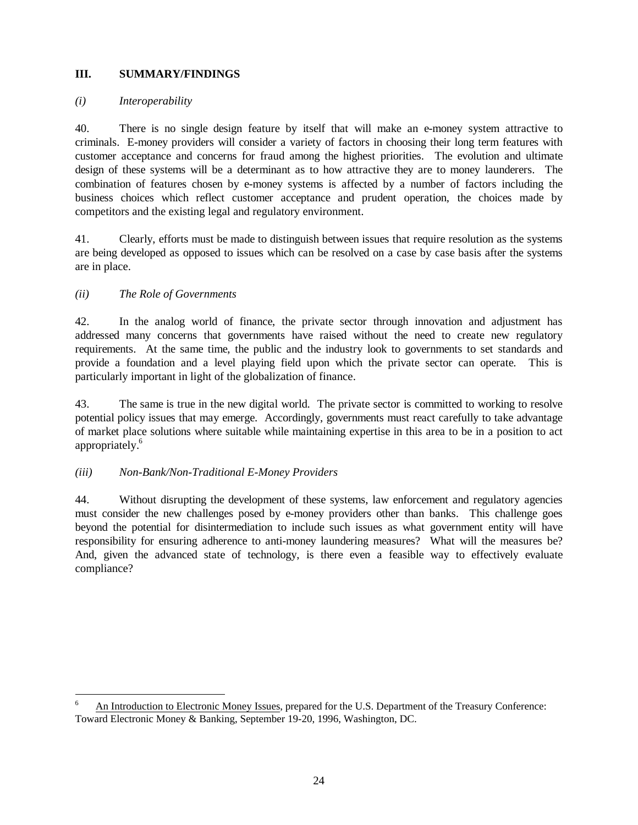#### **III. SUMMARY/FINDINGS**

#### *(i) Interoperability*

40. There is no single design feature by itself that will make an e-money system attractive to criminals. E-money providers will consider a variety of factors in choosing their long term features with customer acceptance and concerns for fraud among the highest priorities. The evolution and ultimate design of these systems will be a determinant as to how attractive they are to money launderers. The combination of features chosen by e-money systems is affected by a number of factors including the business choices which reflect customer acceptance and prudent operation, the choices made by competitors and the existing legal and regulatory environment.

41. Clearly, efforts must be made to distinguish between issues that require resolution as the systems are being developed as opposed to issues which can be resolved on a case by case basis after the systems are in place.

#### *(ii) The Role of Governments*

 $\overline{a}$ 

42. In the analog world of finance, the private sector through innovation and adjustment has addressed many concerns that governments have raised without the need to create new regulatory requirements. At the same time, the public and the industry look to governments to set standards and provide a foundation and a level playing field upon which the private sector can operate. This is particularly important in light of the globalization of finance.

43. The same is true in the new digital world. The private sector is committed to working to resolve potential policy issues that may emerge. Accordingly, governments must react carefully to take advantage of market place solutions where suitable while maintaining expertise in this area to be in a position to act appropriately.<sup>6</sup>

#### *(iii) Non-Bank/Non-Traditional E-Money Providers*

44. Without disrupting the development of these systems, law enforcement and regulatory agencies must consider the new challenges posed by e-money providers other than banks. This challenge goes beyond the potential for disintermediation to include such issues as what government entity will have responsibility for ensuring adherence to anti-money laundering measures? What will the measures be? And, given the advanced state of technology, is there even a feasible way to effectively evaluate compliance?

<sup>6</sup> An Introduction to Electronic Money Issues, prepared for the U.S. Department of the Treasury Conference: Toward Electronic Money & Banking, September 19-20, 1996, Washington, DC.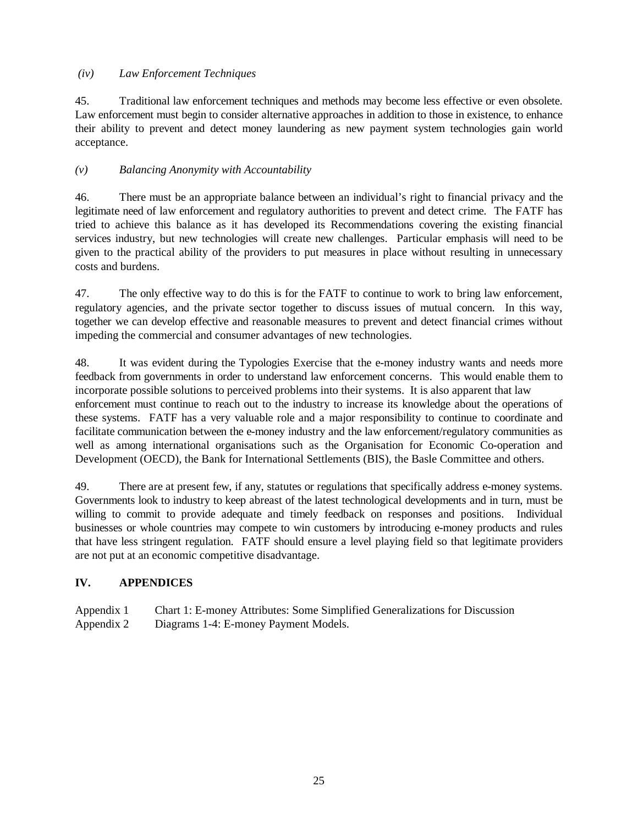#### *(iv) Law Enforcement Techniques*

45. Traditional law enforcement techniques and methods may become less effective or even obsolete. Law enforcement must begin to consider alternative approaches in addition to those in existence, to enhance their ability to prevent and detect money laundering as new payment system technologies gain world acceptance.

#### *(v) Balancing Anonymity with Accountability*

46. There must be an appropriate balance between an individual's right to financial privacy and the legitimate need of law enforcement and regulatory authorities to prevent and detect crime. The FATF has tried to achieve this balance as it has developed its Recommendations covering the existing financial services industry, but new technologies will create new challenges. Particular emphasis will need to be given to the practical ability of the providers to put measures in place without resulting in unnecessary costs and burdens.

47. The only effective way to do this is for the FATF to continue to work to bring law enforcement, regulatory agencies, and the private sector together to discuss issues of mutual concern. In this way, together we can develop effective and reasonable measures to prevent and detect financial crimes without impeding the commercial and consumer advantages of new technologies.

48. It was evident during the Typologies Exercise that the e-money industry wants and needs more feedback from governments in order to understand law enforcement concerns. This would enable them to incorporate possible solutions to perceived problems into their systems. It is also apparent that law enforcement must continue to reach out to the industry to increase its knowledge about the operations of these systems. FATF has a very valuable role and a major responsibility to continue to coordinate and facilitate communication between the e-money industry and the law enforcement/regulatory communities as well as among international organisations such as the Organisation for Economic Co-operation and Development (OECD), the Bank for International Settlements (BIS), the Basle Committee and others.

49. There are at present few, if any, statutes or regulations that specifically address e-money systems. Governments look to industry to keep abreast of the latest technological developments and in turn, must be willing to commit to provide adequate and timely feedback on responses and positions. Individual businesses or whole countries may compete to win customers by introducing e-money products and rules that have less stringent regulation. FATF should ensure a level playing field so that legitimate providers are not put at an economic competitive disadvantage.

#### **IV. APPENDICES**

Appendix 1 Chart 1: E-money Attributes: Some Simplified Generalizations for Discussion Appendix 2 Diagrams 1-4: E-money Payment Models.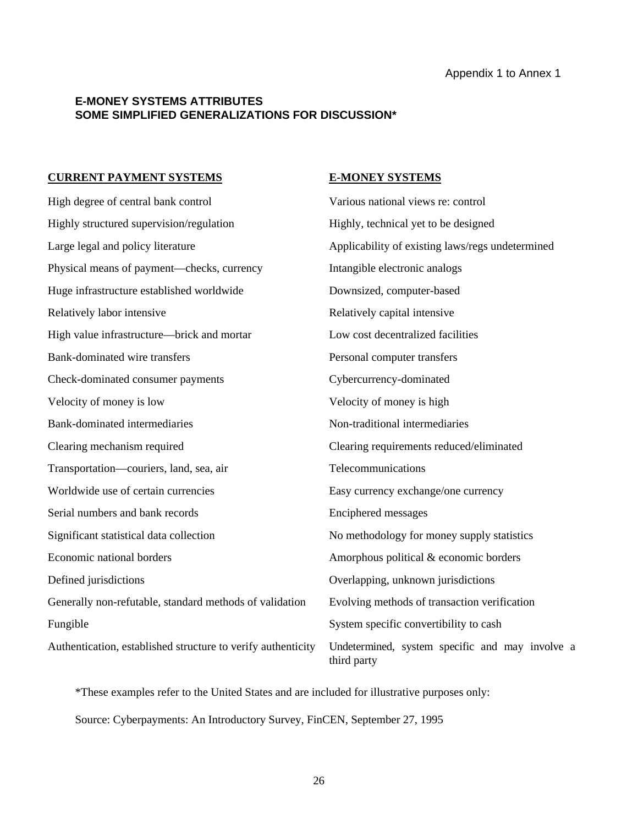#### **E-MONEY SYSTEMS ATTRIBUTES SOME SIMPLIFIED GENERALIZATIONS FOR DISCUSSION\***

#### **CURRENT PAYMENT SYSTEMS E-MONEY SYSTEMS**

High degree of central bank control Various national views re: control Highly structured supervision/regulation Highly, technical yet to be designed Large legal and policy literature Applicability of existing laws/regs undetermined Physical means of payment—checks, currency Intangible electronic analogs Huge infrastructure established worldwide Downsized, computer-based Relatively labor intensive **Relatively** capital intensive Relatively capital intensive High value infrastructure—brick and mortar Low cost decentralized facilities Bank-dominated wire transfers Personal computer transfers Check-dominated consumer payments Cybercurrency-dominated Velocity of money is low Velocity of money is high Bank-dominated intermediaries Non-traditional intermediaries Clearing mechanism required Clearing requirements reduced/eliminated Transportation—couriers, land, sea, air Telecommunications Worldwide use of certain currencies Easy currency exchange/one currency Serial numbers and bank records Enciphered messages Significant statistical data collection No methodology for money supply statistics Economic national borders Amorphous political & economic borders Defined jurisdictions Overlapping, unknown jurisdictions Generally non-refutable, standard methods of validation Evolving methods of transaction verification Fungible System specific convertibility to cash Authentication, established structure to verify authenticity Undetermined, system specific and may involve a third party

\*These examples refer to the United States and are included for illustrative purposes only: Source: Cyberpayments: An Introductory Survey, FinCEN, September 27, 1995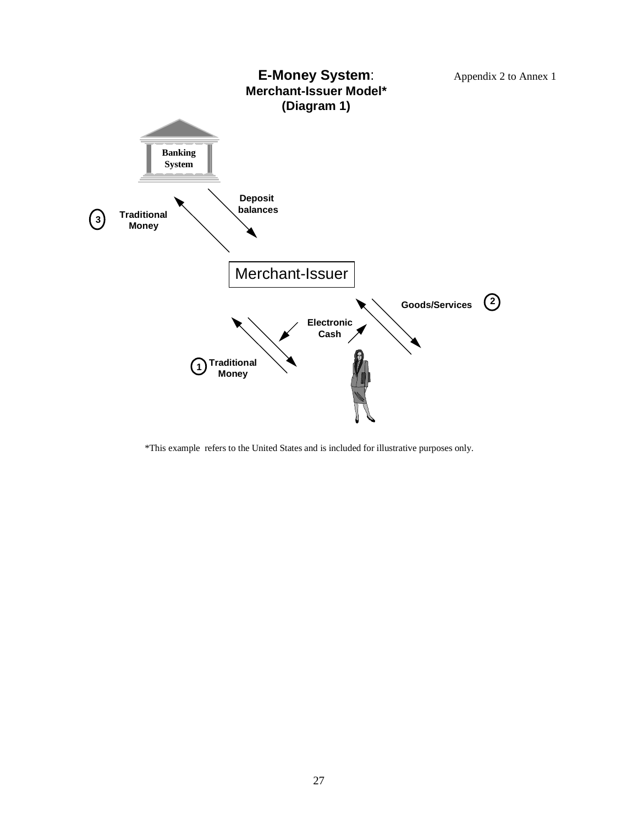

\*This example refers to the United States and is included for illustrative purposes only.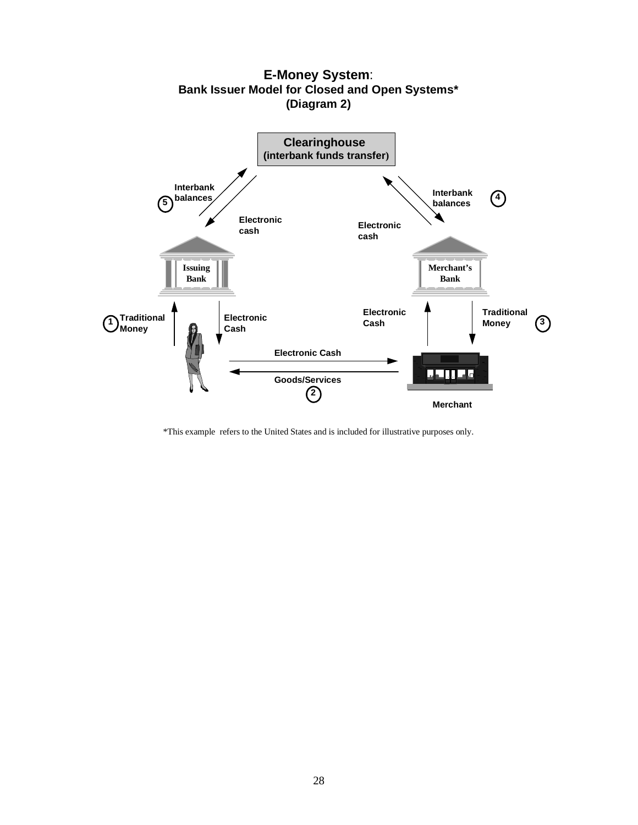

**E-Money System**: **Bank Issuer Model for Closed and Open Systems\* (Diagram 2)**

\*This example refers to the United States and is included for illustrative purposes only.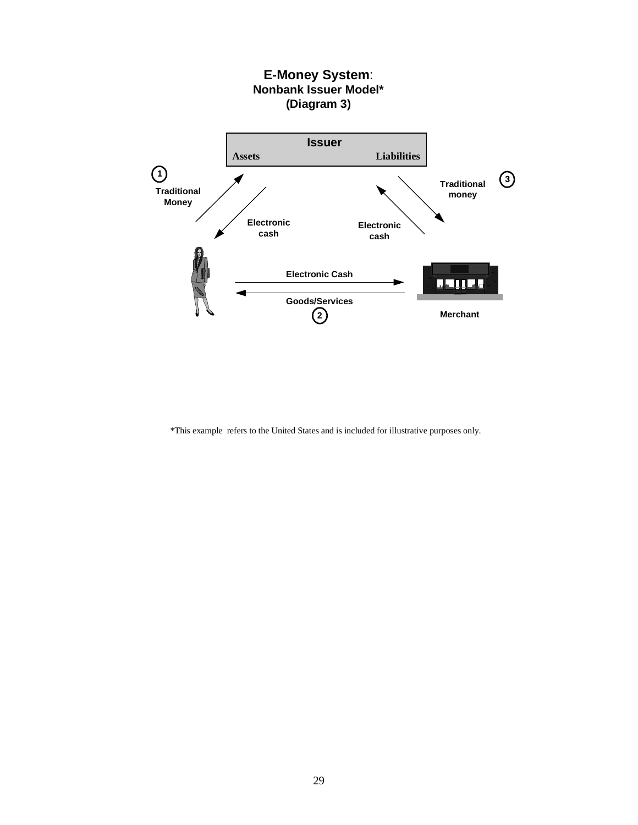

\*This example refers to the United States and is included for illustrative purposes only.